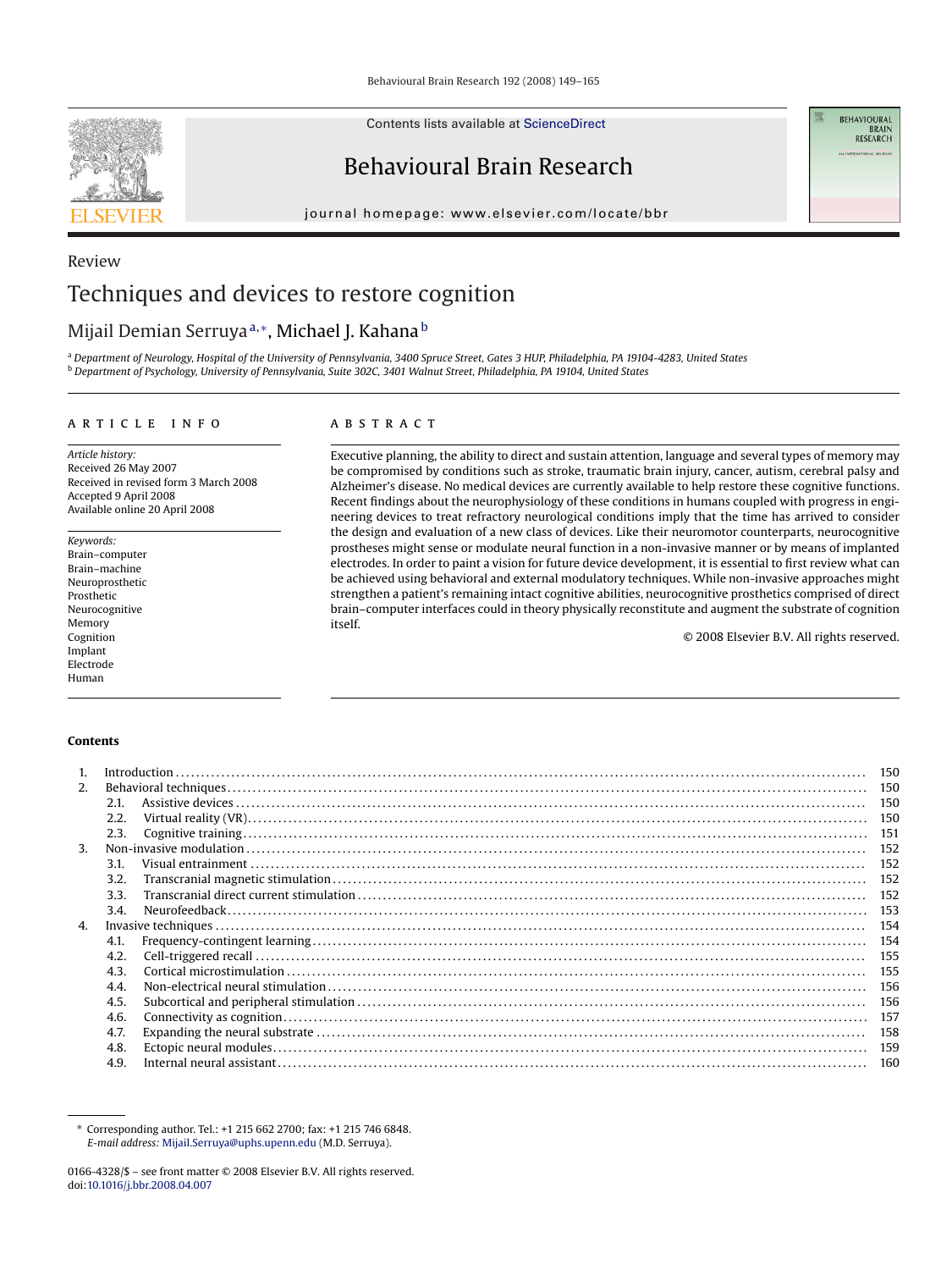Contents lists available at [ScienceDirect](http://www.sciencedirect.com/science/journal/01664328)

# Behavioural Brain Research

journal homepage: www.elsevier.com/locate/bbr

## Review Techniques and devices to restore cognition

## Mijail Demian Serruya<sup>a[,](#page-0-0)∗</sup>, [M](#page-0-1)ichael J. Kahana [b](#page-0-2)

<sup>a</sup> *Department of Neurology, Hospital of the University of Pennsylvania, 3400 Spruce Street, Gates 3 HUP, Philadelphia, PA 19104-4283, United States* <sup>b</sup> *Department of Psychology, University of Pennsylvania, Suite 302C, 3401 Walnut Street, Philadelphia, PA 19104, United States*

## a r t i c l e i n f o

*Article history:* Received 26 May 2007 Received in revised form 3 March 2008 Accepted 9 April 2008 Available online 20 April 2008

*Keywords:* Brain–computer Brain–machine Neuroprosthetic Prosthetic Neurocognitive Memory Cognition Implant Electrode Human

## A B S T R A C T

Executive planning, the ability to direct and sustain attention, language and several types of memory may be compromised by conditions such as stroke, traumatic brain injury, cancer, autism, cerebral palsy and Alzheimer's disease. No medical devices are currently available to help restore these cognitive functions. Recent findings about the neurophysiology of these conditions in humans coupled with progress in engineering devices to treat refractory neurological conditions imply that the time has arrived to consider the design and evaluation of a new class of devices. Like their neuromotor counterparts, neurocognitive prostheses might sense or modulate neural function in a non-invasive manner or by means of implanted electrodes. In order to paint a vision for future device development, it is essential to first review what can be achieved using behavioral and external modulatory techniques. While non-invasive approaches might strengthen a patient's remaining intact cognitive abilities, neurocognitive prosthetics comprised of direct brain–computer interfaces could in theory physically reconstitute and augment the substrate of cognition itself.

© 2008 Elsevier B.V. All rights reserved.

## <span id="page-0-1"></span>**Contents**

| 1. |      |                                                                                                                                                                                                                                                                                                                                                                                                                                        | 150   |
|----|------|----------------------------------------------------------------------------------------------------------------------------------------------------------------------------------------------------------------------------------------------------------------------------------------------------------------------------------------------------------------------------------------------------------------------------------------|-------|
| 2. |      |                                                                                                                                                                                                                                                                                                                                                                                                                                        | 150   |
|    | 2.1. |                                                                                                                                                                                                                                                                                                                                                                                                                                        | 150   |
|    | 2.2. |                                                                                                                                                                                                                                                                                                                                                                                                                                        |       |
|    | 2.3. |                                                                                                                                                                                                                                                                                                                                                                                                                                        |       |
| 3. |      |                                                                                                                                                                                                                                                                                                                                                                                                                                        |       |
|    | 3.1. |                                                                                                                                                                                                                                                                                                                                                                                                                                        | 152   |
|    | 3.2. |                                                                                                                                                                                                                                                                                                                                                                                                                                        | 152   |
|    | 3.3. |                                                                                                                                                                                                                                                                                                                                                                                                                                        | 152   |
|    | 3.4. | $\label{thm:recon} \textbf{Neurofeedback}. \textcolor{red}{.\textbf{1:}\textbf{1:}\textbf{1:}\textbf{1:}\textbf{1:}\textbf{1:}\textbf{1:}\textbf{1:}\textbf{1:}\textbf{1:}\textbf{1:}\textbf{1:}\textbf{1:}\textbf{1:}\textbf{1:}\textbf{1:}\textbf{1:}\textbf{1:}\textbf{1:}\textbf{1:}\textbf{1:}\textbf{1:}\textbf{1:}\textbf{1:}\textbf{1:}\textbf{1:}\textbf{1:}\textbf{1:}\textbf{1:}\textbf{1:}\textbf{1:}\textbf{1:}\textbf{1$ | - 153 |
| 4. |      |                                                                                                                                                                                                                                                                                                                                                                                                                                        |       |
|    | 4.1. |                                                                                                                                                                                                                                                                                                                                                                                                                                        | 154   |
|    | 4.2. |                                                                                                                                                                                                                                                                                                                                                                                                                                        | 155   |
|    | 4.3. |                                                                                                                                                                                                                                                                                                                                                                                                                                        | 155   |
|    | 4.4. |                                                                                                                                                                                                                                                                                                                                                                                                                                        | - 156 |
|    | 4.5. |                                                                                                                                                                                                                                                                                                                                                                                                                                        | 156   |
|    | 4.6. |                                                                                                                                                                                                                                                                                                                                                                                                                                        | 157   |
|    | 4.7. |                                                                                                                                                                                                                                                                                                                                                                                                                                        |       |
|    | 4.8. |                                                                                                                                                                                                                                                                                                                                                                                                                                        | 159   |
|    | 4.9. |                                                                                                                                                                                                                                                                                                                                                                                                                                        | 160   |
|    |      |                                                                                                                                                                                                                                                                                                                                                                                                                                        |       |

<span id="page-0-2"></span><span id="page-0-0"></span>



<sup>∗</sup> Corresponding author. Tel.: +1 215 662 2700; fax: +1 215 746 6848. *E-mail address:* [Mijail.Serruya@uphs.upenn.edu](mailto:Mijail.Serruya@uphs.upenn.edu) (M.D. Serruya).

<sup>0166-4328/\$ –</sup> see front matter © 2008 Elsevier B.V. All rights reserved. doi[:10.1016/j.bbr.2008.04.007](file://localhost/Users/rwl/Downloads/dx.doi.org/10.1016/j.bbr.2008.04.007)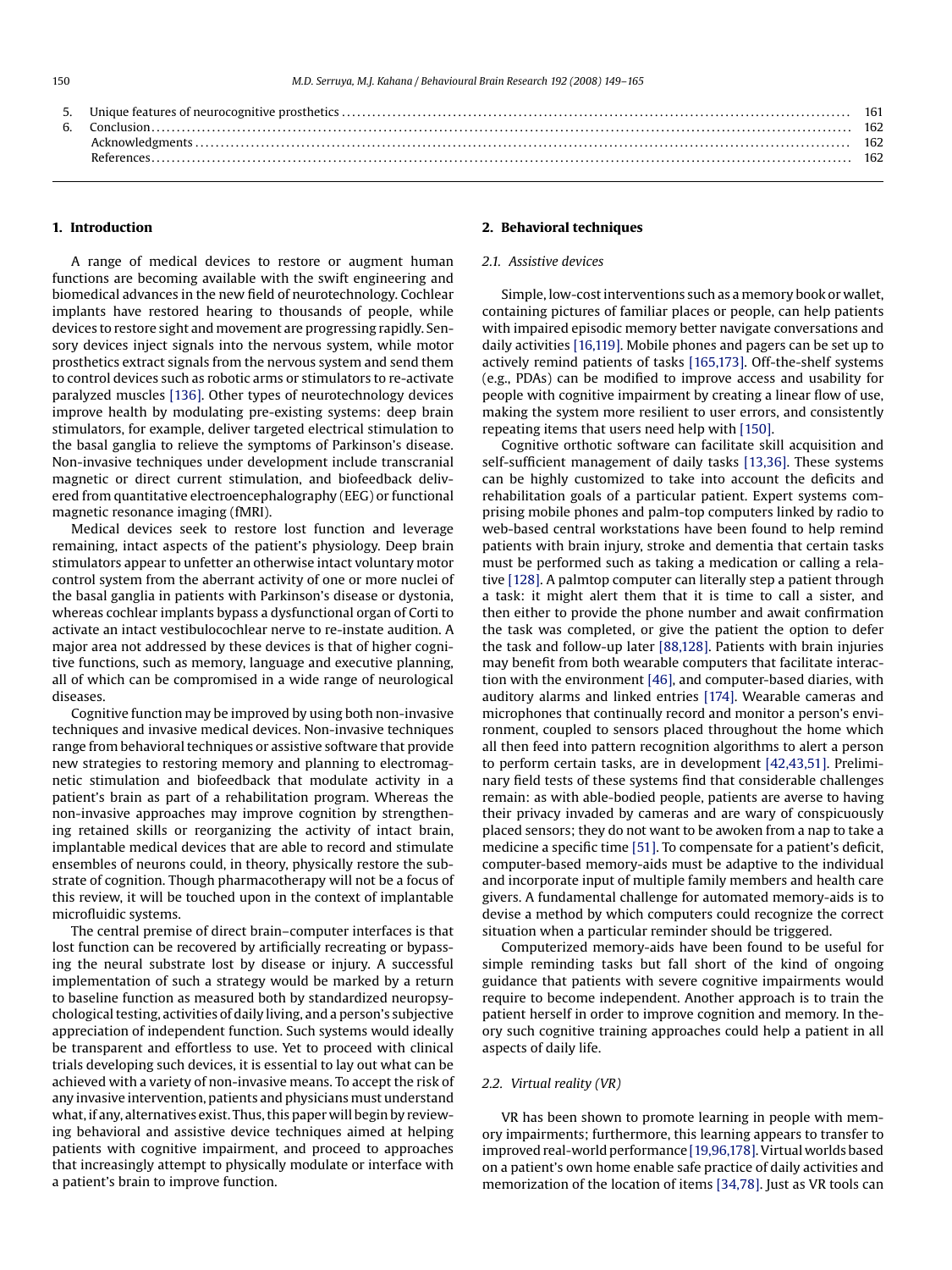| 5. |             |  |
|----|-------------|--|
| 6. | Conclusion. |  |
|    |             |  |
|    |             |  |
|    |             |  |

## **1. Introduction**

A range of medical devices to restore or augment human functions are becoming available with the swift engineering and biomedical advances in the new field of neurotechnology. Cochlear implants have restored hearing to thousands of people, while devices to restore sight and movement are progressing rapidly. Sensory devices inject signals into the nervous system, while motor prosthetics extract signals from the nervous system and send them to control devices such as robotic arms or stimulators to re-activate paralyzed muscles [\[136\]. O](#page-15-0)ther types of neurotechnology devices improve health by modulating pre-existing systems: deep brain stimulators, for example, deliver targeted electrical stimulation to the basal ganglia to relieve the symptoms of Parkinson's disease. Non-invasive techniques under development include transcranial magnetic or direct current stimulation, and biofeedback delivered from quantitative electroencephalography (EEG) or functional magnetic resonance imaging (fMRI).

Medical devices seek to restore lost function and leverage remaining, intact aspects of the patient's physiology. Deep brain stimulators appear to unfetter an otherwise intact voluntary motor control system from the aberrant activity of one or more nuclei of the basal ganglia in patients with Parkinson's disease or dystonia, whereas cochlear implants bypass a dysfunctional organ of Corti to activate an intact vestibulocochlear nerve to re-instate audition. A major area not addressed by these devices is that of higher cognitive functions, such as memory, language and executive planning, all of which can be compromised in a wide range of neurological diseases.

Cognitive function may be improved by using both non-invasive techniques and invasive medical devices. Non-invasive techniques range from behavioral techniques or assistive software that provide new strategies to restoring memory and planning to electromagnetic stimulation and biofeedback that modulate activity in a patient's brain as part of a rehabilitation program. Whereas the non-invasive approaches may improve cognition by strengthening retained skills or reorganizing the activity of intact brain, implantable medical devices that are able to record and stimulate ensembles of neurons could, in theory, physically restore the substrate of cognition. Though pharmacotherapy will not be a focus of this review, it will be touched upon in the context of implantable microfluidic systems.

The central premise of direct brain–computer interfaces is that lost function can be recovered by artificially recreating or bypassing the neural substrate lost by disease or injury. A successful implementation of such a strategy would be marked by a return to baseline function as measured both by standardized neuropsychological testing, activities of daily living, and a person's subjective appreciation of independent function. Such systems would ideally be transparent and effortless to use. Yet to proceed with clinical trials developing such devices, it is essential to lay out what can be achieved with a variety of non-invasive means. To accept the risk of any invasive intervention, patients and physicians must understand what, if any, alternatives exist. Thus, this paper will begin by reviewing behavioral and assistive device techniques aimed at helping patients with cognitive impairment, and proceed to approaches that increasingly attempt to physically modulate or interface with a patient's brain to improve function.

## **2. Behavioral techniques**

## *2.1. Assistive devices*

Simple, low-cost interventions such as a memory book or wallet, containing pictures of familiar places or people, can help patients with impaired episodic memory better navigate conversations and daily activities [\[16,119\]. M](#page-13-0)obile phones and pagers can be set up to actively remind patients of tasks [\[165,173\].](#page-16-0) Off-the-shelf systems (e.g., PDAs) can be modified to improve access and usability for people with cognitive impairment by creating a linear flow of use, making the system more resilient to user errors, and consistently repeating items that users need help with [\[150\].](#page-16-1)

Cognitive orthotic software can facilitate skill acquisition and self-sufficient management of daily tasks [\[13,36\]. T](#page-13-1)hese systems can be highly customized to take into account the deficits and rehabilitation goals of a particular patient. Expert systems comprising mobile phones and palm-top computers linked by radio to web-based central workstations have been found to help remind patients with brain injury, stroke and dementia that certain tasks must be performed such as taking a medication or calling a relative [\[128\]. A](#page-15-1) palmtop computer can literally step a patient through a task: it might alert them that it is time to call a sister, and then either to provide the phone number and await confirmation the task was completed, or give the patient the option to defer the task and follow-up later [\[88,128\]. P](#page-15-2)atients with brain injuries may benefit from both wearable computers that facilitate interaction with the environment [\[46\], a](#page-14-1)nd computer-based diaries, with auditory alarms and linked entries [\[174\].](#page-16-2) Wearable cameras and microphones that continually record and monitor a person's environment, coupled to sensors placed throughout the home which all then feed into pattern recognition algorithms to alert a person to perform certain tasks, are in development [\[42,43,51\]. P](#page-14-2)reliminary field tests of these systems find that considerable challenges remain: as with able-bodied people, patients are averse to having their privacy invaded by cameras and are wary of conspicuously placed sensors; they do not want to be awoken from a nap to take a medicine a specific time [\[51\]. T](#page-14-3)o compensate for a patient's deficit, computer-based memory-aids must be adaptive to the individual and incorporate input of multiple family members and health care givers. A fundamental challenge for automated memory-aids is to devise a method by which computers could recognize the correct situation when a particular reminder should be triggered.

Computerized memory-aids have been found to be useful for simple reminding tasks but fall short of the kind of ongoing guidance that patients with severe cognitive impairments would require to become independent. Another approach is to train the patient herself in order to improve cognition and memory. In theory such cognitive training approaches could help a patient in all aspects of daily life.

## *2.2. Virtual reality (VR)*

VR has been shown to promote learning in people with memory impairments; furthermore, this learning appears to transfer to improved real-world performance [\[19,96,178\]. V](#page-13-2)irtual worlds based on a patient's own home enable safe practice of daily activities and memorization of the location of items [\[34,78\]. J](#page-14-0)ust as VR tools can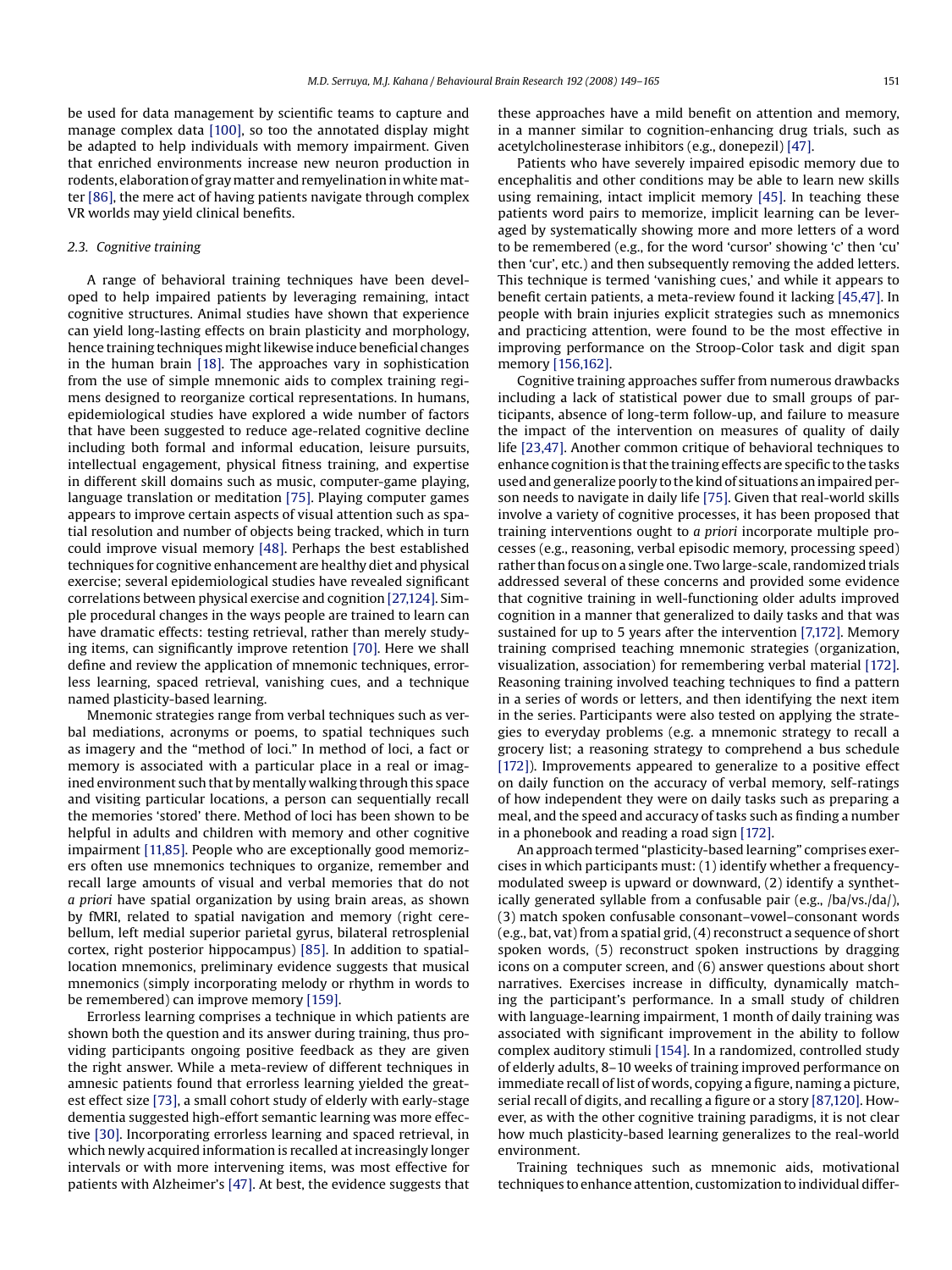be used for data management by scientific teams to capture and manage complex data [\[100\],](#page-15-3) so too the annotated display might be adapted to help individuals with memory impairment. Given that enriched environments increase new neuron production in rodents, elaboration of gray matter and remyelination in white matter [\[86\], t](#page-14-5)he mere act of having patients navigate through complex VR worlds may yield clinical benefits.

#### *2.3. Cognitive training*

A range of behavioral training techniques have been developed to help impaired patients by leveraging remaining, intact cognitive structures. Animal studies have shown that experience can yield long-lasting effects on brain plasticity and morphology, hence training techniques might likewise induce beneficial changes in the human brain [\[18\].](#page-13-3) The approaches vary in sophistication from the use of simple mnemonic aids to complex training regimens designed to reorganize cortical representations. In humans, epidemiological studies have explored a wide number of factors that have been suggested to reduce age-related cognitive decline including both formal and informal education, leisure pursuits, intellectual engagement, physical fitness training, and expertise in different skill domains such as music, computer-game playing, language translation or meditation [\[75\]. P](#page-14-6)laying computer games appears to improve certain aspects of visual attention such as spatial resolution and number of objects being tracked, which in turn could improve visual memory [\[48\]. P](#page-14-7)erhaps the best established techniques for cognitive enhancement are healthy diet and physical exercise; several epidemiological studies have revealed significant correlations between physical exercise and cognition [\[27,124\]. S](#page-14-8)imple procedural changes in the ways people are trained to learn can have dramatic effects: testing retrieval, rather than merely studying items, can significantly improve retention [\[70\]. H](#page-14-9)ere we shall define and review the application of mnemonic techniques, errorless learning, spaced retrieval, vanishing cues, and a technique named plasticity-based learning.

Mnemonic strategies range from verbal techniques such as verbal mediations, acronyms or poems, to spatial techniques such as imagery and the "method of loci." In method of loci, a fact or memory is associated with a particular place in a real or imagined environment such that by mentally walking through this space and visiting particular locations, a person can sequentially recall the memories 'stored' there. Method of loci has been shown to be helpful in adults and children with memory and other cognitive impairment [\[11,85\]. P](#page-13-4)eople who are exceptionally good memorizers often use mnemonics techniques to organize, remember and recall large amounts of visual and verbal memories that do not *a priori* have spatial organization by using brain areas, as shown by fMRI, related to spatial navigation and memory (right cerebellum, left medial superior parietal gyrus, bilateral retrosplenial cortex, right posterior hippocampus) [\[85\]. I](#page-14-10)n addition to spatiallocation mnemonics, preliminary evidence suggests that musical mnemonics (simply incorporating melody or rhythm in words to be remembered) can improve memory [\[159\].](#page-16-3)

Errorless learning comprises a technique in which patients are shown both the question and its answer during training, thus providing participants ongoing positive feedback as they are given the right answer. While a meta-review of different techniques in amnesic patients found that errorless learning yielded the greatest effect size [\[73\], a](#page-14-11) small cohort study of elderly with early-stage dementia suggested high-effort semantic learning was more effective [\[30\]. I](#page-14-12)ncorporating errorless learning and spaced retrieval, in which newly acquired information is recalled at increasingly longer intervals or with more intervening items, was most effective for patients with Alzheimer's [\[47\]. A](#page-14-13)t best, the evidence suggests that these approaches have a mild benefit on attention and memory, in a manner similar to cognition-enhancing drug trials, such as acetylcholinesterase inhibitors (e.g., donepezil) [\[47\].](#page-14-13)

Patients who have severely impaired episodic memory due to encephalitis and other conditions may be able to learn new skills using remaining, intact implicit memory [\[45\]. I](#page-14-14)n teaching these patients word pairs to memorize, implicit learning can be leveraged by systematically showing more and more letters of a word to be remembered (e.g., for the word 'cursor' showing 'c' then 'cu' then 'cur', etc.) and then subsequently removing the added letters. This technique is termed 'vanishing cues,' and while it appears to benefit certain patients, a meta-review found it lacking [\[45,47\]. I](#page-14-14)n people with brain injuries explicit strategies such as mnemonics and practicing attention, were found to be the most effective in improving performance on the Stroop-Color task and digit span memory [\[156,162\].](#page-16-4)

Cognitive training approaches suffer from numerous drawbacks including a lack of statistical power due to small groups of participants, absence of long-term follow-up, and failure to measure the impact of the intervention on measures of quality of daily life [\[23,47\]. A](#page-13-5)nother common critique of behavioral techniques to enhance cognition is that the training effects are specific to the tasks used and generalize poorly to the kind of situations an impaired person needs to navigate in daily life [\[75\]. G](#page-14-6)iven that real-world skills involve a variety of cognitive processes, it has been proposed that training interventions ought to *a priori* incorporate multiple processes (e.g., reasoning, verbal episodic memory, processing speed) rather than focus on a single one. Two large-scale, randomized trials addressed several of these concerns and provided some evidence that cognitive training in well-functioning older adults improved cognition in a manner that generalized to daily tasks and that was sustained for up to 5 years after the intervention [\[7,172\]. M](#page-13-6)emory training comprised teaching mnemonic strategies (organization, visualization, association) for remembering verbal material [\[172\].](#page-16-5) Reasoning training involved teaching techniques to find a pattern in a series of words or letters, and then identifying the next item in the series. Participants were also tested on applying the strategies to everyday problems (e.g. a mnemonic strategy to recall a grocery list; a reasoning strategy to comprehend a bus schedule [\[172\]\).](#page-16-5) Improvements appeared to generalize to a positive effect on daily function on the accuracy of verbal memory, self-ratings of how independent they were on daily tasks such as preparing a meal, and the speed and accuracy of tasks such as finding a number in a phonebook and reading a road sign [\[172\].](#page-16-5)

An approach termed "plasticity-based learning" comprises exercises in which participants must: (1) identify whether a frequencymodulated sweep is upward or downward, (2) identify a synthetically generated syllable from a confusable pair (e.g., /ba/vs./da/), (3) match spoken confusable consonant–vowel–consonant words (e.g., bat, vat) from a spatial grid, (4) reconstruct a sequence of short spoken words, (5) reconstruct spoken instructions by dragging icons on a computer screen, and (6) answer questions about short narratives. Exercises increase in difficulty, dynamically matching the participant's performance. In a small study of children with language-learning impairment, 1 month of daily training was associated with significant improvement in the ability to follow complex auditory stimuli [\[154\]. I](#page-16-6)n a randomized, controlled study of elderly adults, 8–10 weeks of training improved performance on immediate recall of list of words, copying a figure, naming a picture, serial recall of digits, and recalling a figure or a story [\[87,120\]. H](#page-14-4)owever, as with the other cognitive training paradigms, it is not clear how much plasticity-based learning generalizes to the real-world environment.

Training techniques such as mnemonic aids, motivational techniques to enhance attention, customization to individual differ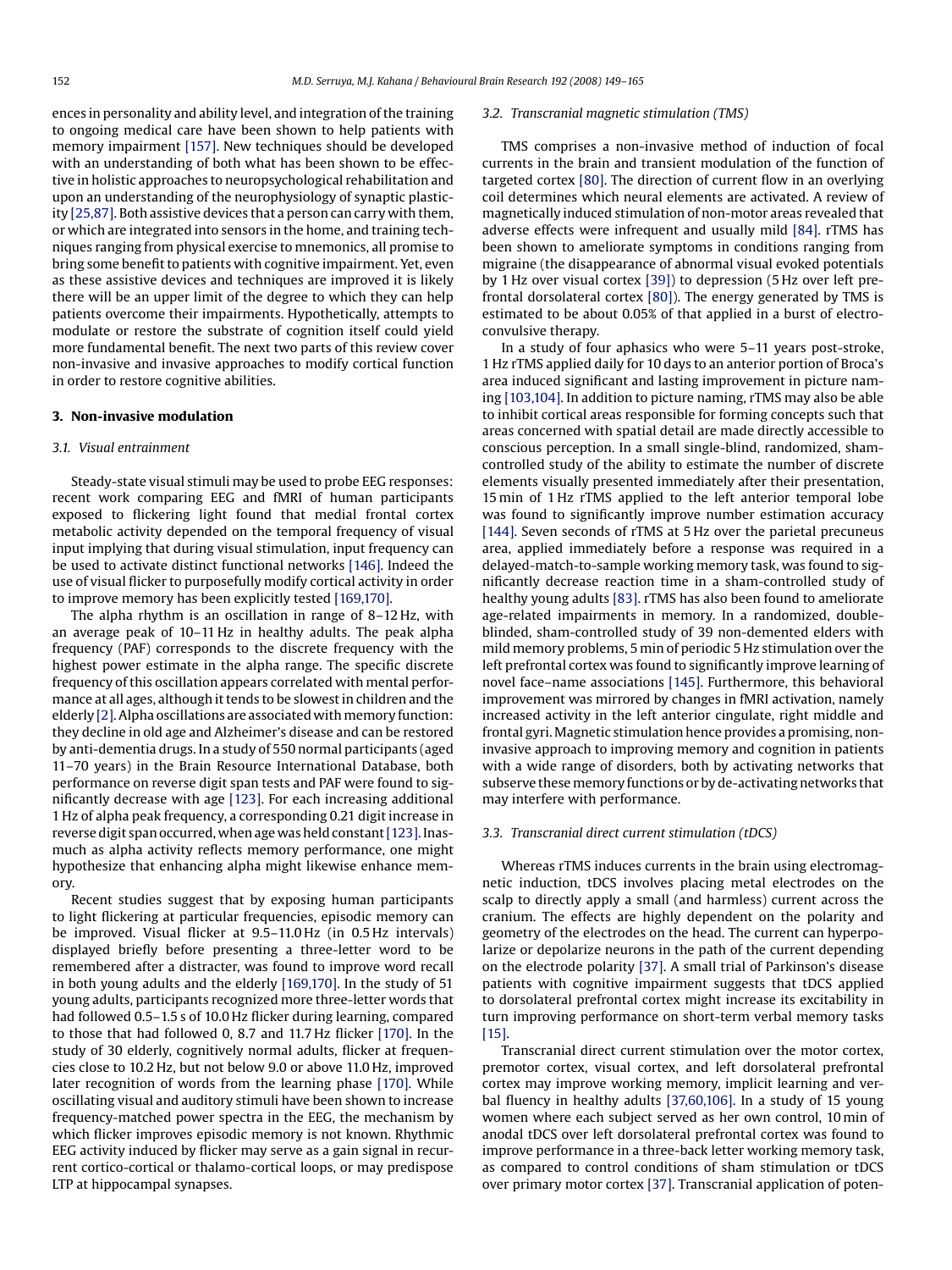ences in personality and ability level, and integration of the training to ongoing medical care have been shown to help patients with memory impairment [\[157\]. N](#page-16-7)ew techniques should be developed with an understanding of both what has been shown to be effective in holistic approaches to neuropsychological rehabilitation and upon an understanding of the neurophysiology of synaptic plasticity [\[25,87\]. B](#page-13-7)oth assistive devices that a person can carry with them, or which are integrated into sensors in the home, and training techniques ranging from physical exercise to mnemonics, all promise to bring some benefit to patients with cognitive impairment. Yet, even as these assistive devices and techniques are improved it is likely there will be an upper limit of the degree to which they can help patients overcome their impairments. Hypothetically, attempts to modulate or restore the substrate of cognition itself could yield more fundamental benefit. The next two parts of this review cover non-invasive and invasive approaches to modify cortical function in order to restore cognitive abilities.

### **3. Non-invasive modulation**

## *3.1. Visual entrainment*

Steady-state visual stimuli may be used to probe EEG responses: recent work comparing EEG and fMRI of human participants exposed to flickering light found that medial frontal cortex metabolic activity depended on the temporal frequency of visual input implying that during visual stimulation, input frequency can be used to activate distinct functional networks [\[146\]. I](#page-16-8)ndeed the use of visual flicker to purposefully modify cortical activity in order to improve memory has been explicitly tested [\[169,170\].](#page-16-9)

The alpha rhythm is an oscillation in range of 8–12 Hz, with an average peak of 10–11 Hz in healthy adults. The peak alpha frequency (PAF) corresponds to the discrete frequency with the highest power estimate in the alpha range. The specific discrete frequency of this oscillation appears correlated with mental performance at all ages, although it tends to be slowest in children and the elderly [\[2\]. A](#page-13-8)lpha oscillations are associated with memory function: they decline in old age and Alzheimer's disease and can be restored by anti-dementia drugs. In a study of 550 normal participants (aged 11–70 years) in the Brain Resource International Database, both performance on reverse digit span tests and PAF were found to significantly decrease with age [\[123\]. F](#page-15-4)or each increasing additional 1 Hz of alpha peak frequency, a corresponding 0.21 digit increase in reverse digit span occurred, when age was held constant[\[123\]. I](#page-15-4)nasmuch as alpha activity reflects memory performance, one might hypothesize that enhancing alpha might likewise enhance memory.

Recent studies suggest that by exposing human participants to light flickering at particular frequencies, episodic memory can be improved. Visual flicker at 9.5–11.0 Hz (in 0.5 Hz intervals) displayed briefly before presenting a three-letter word to be remembered after a distracter, was found to improve word recall in both young adults and the elderly [\[169,170\]. I](#page-16-9)n the study of 51 young adults, participants recognized more three-letter words that had followed 0.5–1.5 s of 10.0 Hz flicker during learning, compared to those that had followed 0, 8.7 and 11.7 Hz flicker [\[170\]. I](#page-16-10)n the study of 30 elderly, cognitively normal adults, flicker at frequencies close to 10.2 Hz, but not below 9.0 or above 11.0 Hz, improved later recognition of words from the learning phase [\[170\].](#page-16-10) While oscillating visual and auditory stimuli have been shown to increase frequency-matched power spectra in the EEG, the mechanism by which flicker improves episodic memory is not known. Rhythmic EEG activity induced by flicker may serve as a gain signal in recurrent cortico-cortical or thalamo-cortical loops, or may predispose LTP at hippocampal synapses.

#### *3.2. Transcranial magnetic stimulation (TMS)*

TMS comprises a non-invasive method of induction of focal currents in the brain and transient modulation of the function of targeted cortex [\[80\]. T](#page-14-16)he direction of current flow in an overlying coil determines which neural elements are activated. A review of magnetically induced stimulation of non-motor areas revealed that adverse effects were infrequent and usually mild [\[84\].](#page-14-17) rTMS has been shown to ameliorate symptoms in conditions ranging from migraine (the disappearance of abnormal visual evoked potentials by 1 Hz over visual cortex [\[39\]\)](#page-14-9) to depression (5 Hz over left prefrontal dorsolateral cortex [\[80\]\).](#page-14-16) The energy generated by TMS is estimated to be about 0.05% of that applied in a burst of electroconvulsive therapy.

In a study of four aphasics who were 5–11 years post-stroke, 1 Hz rTMS applied daily for 10 days to an anterior portion of Broca's area induced significant and lasting improvement in picture naming [\[103,104\]. I](#page-15-5)n addition to picture naming, rTMS may also be able to inhibit cortical areas responsible for forming concepts such that areas concerned with spatial detail are made directly accessible to conscious perception. In a small single-blind, randomized, shamcontrolled study of the ability to estimate the number of discrete elements visually presented immediately after their presentation, 15 min of 1 Hz rTMS applied to the left anterior temporal lobe was found to significantly improve number estimation accuracy [\[144\]. S](#page-15-6)even seconds of rTMS at 5 Hz over the parietal precuneus area, applied immediately before a response was required in a delayed-match-to-sample working memory task, was found to significantly decrease reaction time in a sham-controlled study of healthy young adults [\[83\]. r](#page-14-18)TMS has also been found to ameliorate age-related impairments in memory. In a randomized, doubleblinded, sham-controlled study of 39 non-demented elders with mild memory problems, 5 min of periodic 5 Hz stimulation over the left prefrontal cortex was found to significantly improve learning of novel face–name associations [\[145\]. F](#page-15-7)urthermore, this behavioral improvement was mirrored by changes in fMRI activation, namely increased activity in the left anterior cingulate, right middle and frontal gyri. Magnetic stimulation hence provides a promising, noninvasive approach to improving memory and cognition in patients with a wide range of disorders, both by activating networks that subserve these memory functions or by de-activating networks that may interfere with performance.

#### *3.3. Transcranial direct current stimulation (tDCS)*

Whereas rTMS induces currents in the brain using electromagnetic induction, tDCS involves placing metal electrodes on the scalp to directly apply a small (and harmless) current across the cranium. The effects are highly dependent on the polarity and geometry of the electrodes on the head. The current can hyperpolarize or depolarize neurons in the path of the current depending on the electrode polarity [\[37\]. A](#page-14-15) small trial of Parkinson's disease patients with cognitive impairment suggests that tDCS applied to dorsolateral prefrontal cortex might increase its excitability in turn improving performance on short-term verbal memory tasks [\[15\].](#page-13-9)

Transcranial direct current stimulation over the motor cortex, premotor cortex, visual cortex, and left dorsolateral prefrontal cortex may improve working memory, implicit learning and verbal fluency in healthy adults [\[37,60,106\].](#page-14-15) In a study of 15 young women where each subject served as her own control, 10 min of anodal tDCS over left dorsolateral prefrontal cortex was found to improve performance in a three-back letter working memory task, as compared to control conditions of sham stimulation or tDCS over primary motor cortex [\[37\]. T](#page-14-15)ranscranial application of poten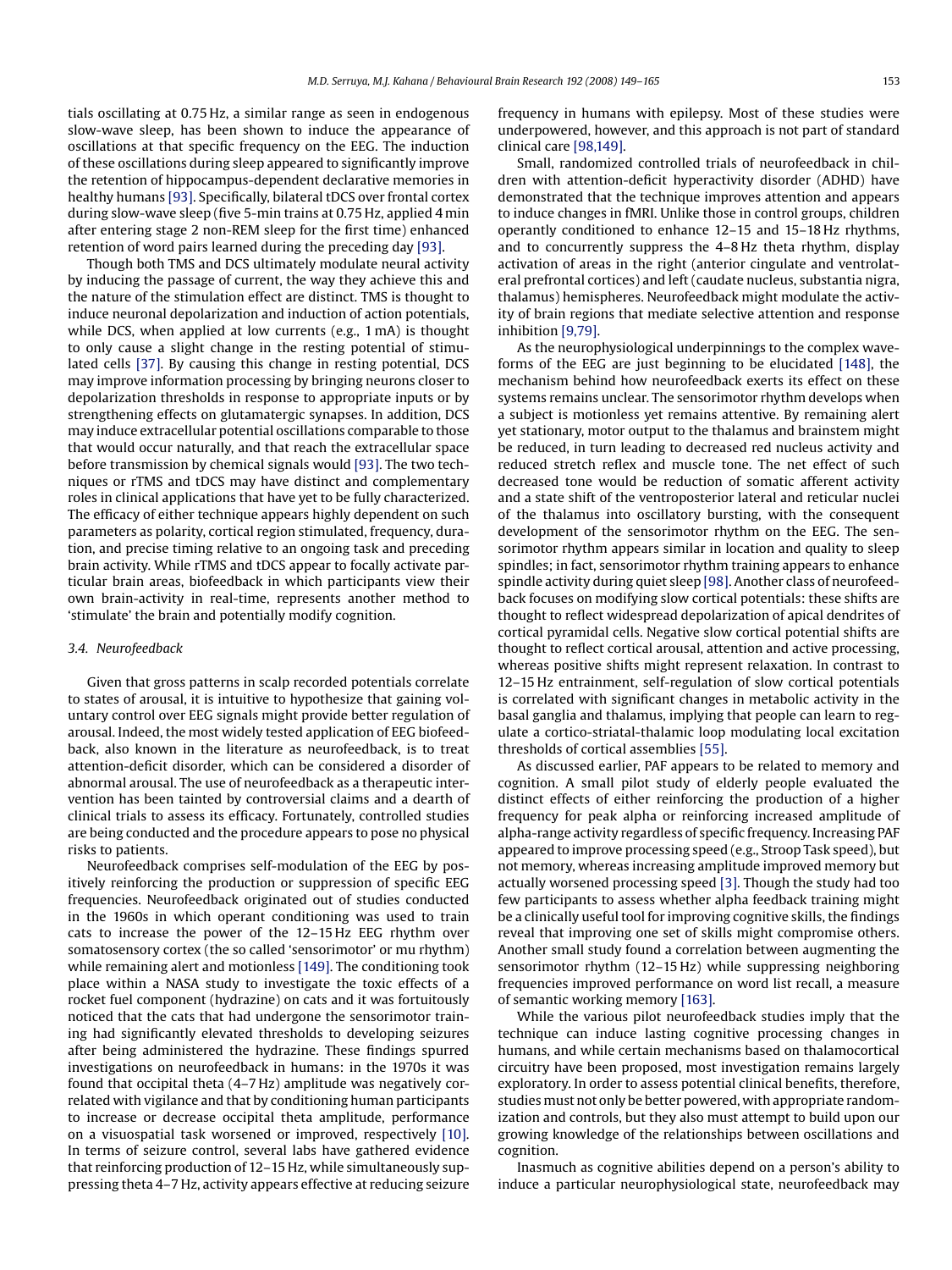tials oscillating at 0.75 Hz, a similar range as seen in endogenous slow-wave sleep, has been shown to induce the appearance of oscillations at that specific frequency on the EEG. The induction of these oscillations during sleep appeared to significantly improve the retention of hippocampus-dependent declarative memories in healthy humans [\[93\]. S](#page-15-8)pecifically, bilateral tDCS over frontal cortex during slow-wave sleep (five 5-min trains at 0.75 Hz, applied 4 min after entering stage 2 non-REM sleep for the first time) enhanced retention of word pairs learned during the preceding day [\[93\].](#page-15-8)

Though both TMS and DCS ultimately modulate neural activity by inducing the passage of current, the way they achieve this and the nature of the stimulation effect are distinct. TMS is thought to induce neuronal depolarization and induction of action potentials, while DCS, when applied at low currents (e.g., 1 mA) is thought to only cause a slight change in the resting potential of stimulated cells [\[37\].](#page-14-15) By causing this change in resting potential, DCS may improve information processing by bringing neurons closer to depolarization thresholds in response to appropriate inputs or by strengthening effects on glutamatergic synapses. In addition, DCS may induce extracellular potential oscillations comparable to those that would occur naturally, and that reach the extracellular space before transmission by chemical signals would [\[93\]. T](#page-15-8)he two techniques or rTMS and tDCS may have distinct and complementary roles in clinical applications that have yet to be fully characterized. The efficacy of either technique appears highly dependent on such parameters as polarity, cortical region stimulated, frequency, duration, and precise timing relative to an ongoing task and preceding brain activity. While rTMS and tDCS appear to focally activate particular brain areas, biofeedback in which participants view their own brain-activity in real-time, represents another method to 'stimulate' the brain and potentially modify cognition.

## *3.4. Neurofeedback*

Given that gross patterns in scalp recorded potentials correlate to states of arousal, it is intuitive to hypothesize that gaining voluntary control over EEG signals might provide better regulation of arousal. Indeed, the most widely tested application of EEG biofeedback, also known in the literature as neurofeedback, is to treat attention-deficit disorder, which can be considered a disorder of abnormal arousal. The use of neurofeedback as a therapeutic intervention has been tainted by controversial claims and a dearth of clinical trials to assess its efficacy. Fortunately, controlled studies are being conducted and the procedure appears to pose no physical risks to patients.

Neurofeedback comprises self-modulation of the EEG by positively reinforcing the production or suppression of specific EEG frequencies. Neurofeedback originated out of studies conducted in the 1960s in which operant conditioning was used to train cats to increase the power of the 12–15 Hz EEG rhythm over somatosensory cortex (the so called 'sensorimotor' or mu rhythm) while remaining alert and motionless [\[149\]. T](#page-16-11)he conditioning took place within a NASA study to investigate the toxic effects of a rocket fuel component (hydrazine) on cats and it was fortuitously noticed that the cats that had undergone the sensorimotor training had significantly elevated thresholds to developing seizures after being administered the hydrazine. These findings spurred investigations on neurofeedback in humans: in the 1970s it was found that occipital theta (4–7 Hz) amplitude was negatively correlated with vigilance and that by conditioning human participants to increase or decrease occipital theta amplitude, performance on a visuospatial task worsened or improved, respectively [\[10\].](#page-13-10) In terms of seizure control, several labs have gathered evidence that reinforcing production of 12–15 Hz, while simultaneously suppressing theta 4–7 Hz, activity appears effective at reducing seizure frequency in humans with epilepsy. Most of these studies were underpowered, however, and this approach is not part of standard clinical care [\[98,149\].](#page-15-9)

Small, randomized controlled trials of neurofeedback in children with attention-deficit hyperactivity disorder (ADHD) have demonstrated that the technique improves attention and appears to induce changes in fMRI. Unlike those in control groups, children operantly conditioned to enhance 12–15 and 15–18 Hz rhythms, and to concurrently suppress the 4–8 Hz theta rhythm, display activation of areas in the right (anterior cingulate and ventrolateral prefrontal cortices) and left (caudate nucleus, substantia nigra, thalamus) hemispheres. Neurofeedback might modulate the activity of brain regions that mediate selective attention and response inhibition [\[9,79\].](#page-13-11)

As the neurophysiological underpinnings to the complex waveforms of the EEG are just beginning to be elucidated [\[148\], t](#page-16-12)he mechanism behind how neurofeedback exerts its effect on these systems remains unclear. The sensorimotor rhythm develops when a subject is motionless yet remains attentive. By remaining alert yet stationary, motor output to the thalamus and brainstem might be reduced, in turn leading to decreased red nucleus activity and reduced stretch reflex and muscle tone. The net effect of such decreased tone would be reduction of somatic afferent activity and a state shift of the ventroposterior lateral and reticular nuclei of the thalamus into oscillatory bursting, with the consequent development of the sensorimotor rhythm on the EEG. The sensorimotor rhythm appears similar in location and quality to sleep spindles; in fact, sensorimotor rhythm training appears to enhance spindle activity during quiet sleep [\[98\]. A](#page-15-9)nother class of neurofeedback focuses on modifying slow cortical potentials: these shifts are thought to reflect widespread depolarization of apical dendrites of cortical pyramidal cells. Negative slow cortical potential shifts are thought to reflect cortical arousal, attention and active processing, whereas positive shifts might represent relaxation. In contrast to 12–15 Hz entrainment, self-regulation of slow cortical potentials is correlated with significant changes in metabolic activity in the basal ganglia and thalamus, implying that people can learn to regulate a cortico-striatal-thalamic loop modulating local excitation thresholds of cortical assemblies [\[55\].](#page-14-19)

As discussed earlier, PAF appears to be related to memory and cognition. A small pilot study of elderly people evaluated the distinct effects of either reinforcing the production of a higher frequency for peak alpha or reinforcing increased amplitude of alpha-range activity regardless of specific frequency. Increasing PAF appeared to improve processing speed (e.g., Stroop Task speed), but not memory, whereas increasing amplitude improved memory but actually worsened processing speed [\[3\]. T](#page-13-12)hough the study had too few participants to assess whether alpha feedback training might be a clinically useful tool for improving cognitive skills, the findings reveal that improving one set of skills might compromise others. Another small study found a correlation between augmenting the sensorimotor rhythm (12–15 Hz) while suppressing neighboring frequencies improved performance on word list recall, a measure of semantic working memory [\[163\].](#page-16-8)

While the various pilot neurofeedback studies imply that the technique can induce lasting cognitive processing changes in humans, and while certain mechanisms based on thalamocortical circuitry have been proposed, most investigation remains largely exploratory. In order to assess potential clinical benefits, therefore, studies must not only be better powered, with appropriate randomization and controls, but they also must attempt to build upon our growing knowledge of the relationships between oscillations and cognition.

Inasmuch as cognitive abilities depend on a person's ability to induce a particular neurophysiological state, neurofeedback may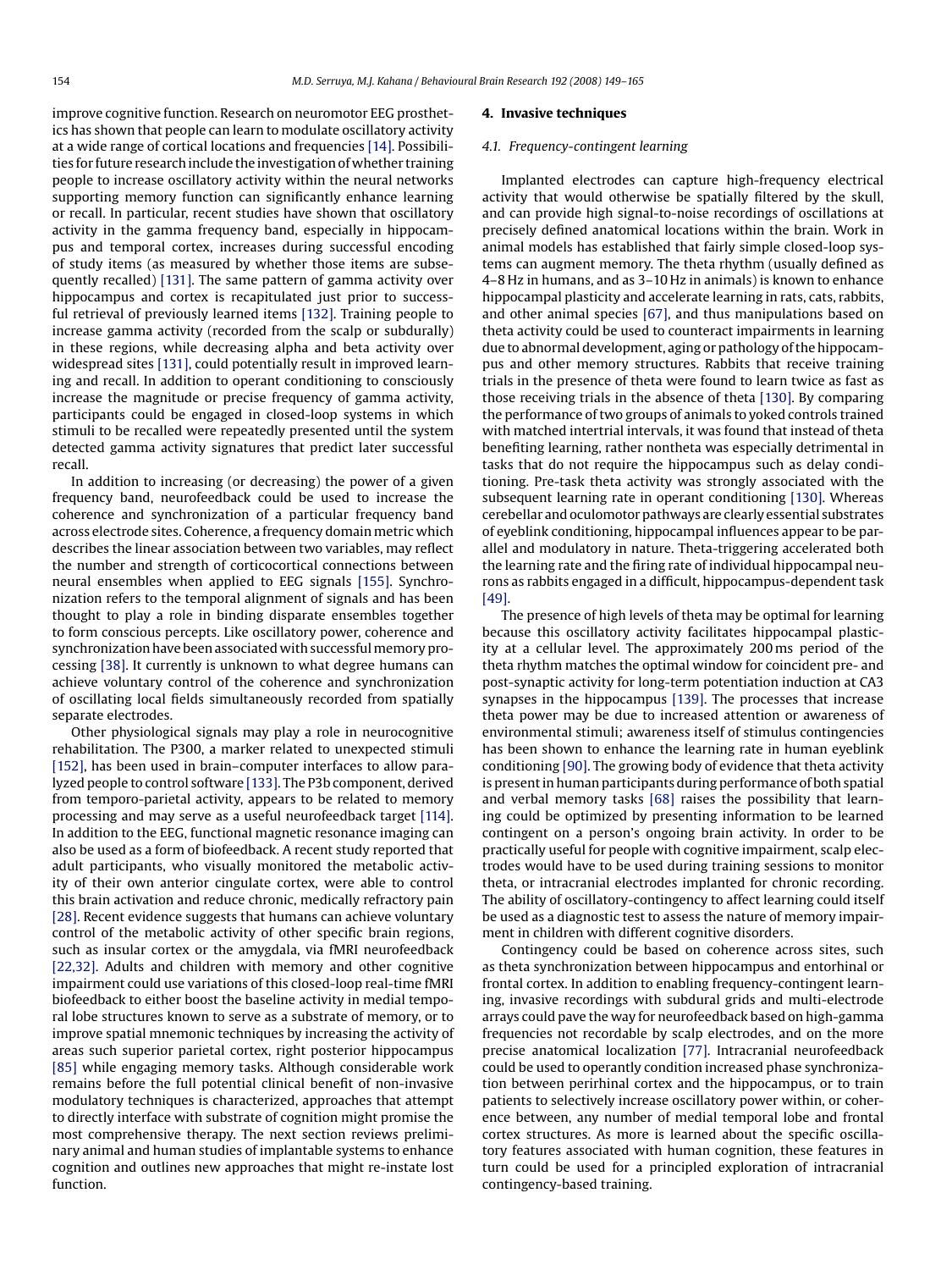improve cognitive function. Research on neuromotor EEG prosthetics has shown that people can learn to modulate oscillatory activity at a wide range of cortical locations and frequencies [\[14\]. P](#page-13-13)ossibilities for future research include the investigation of whether training people to increase oscillatory activity within the neural networks supporting memory function can significantly enhance learning or recall. In particular, recent studies have shown that oscillatory activity in the gamma frequency band, especially in hippocampus and temporal cortex, increases during successful encoding of study items (as measured by whether those items are subsequently recalled) [\[131\]. T](#page-15-10)he same pattern of gamma activity over hippocampus and cortex is recapitulated just prior to successful retrieval of previously learned items [\[132\].](#page-15-5) Training people to increase gamma activity (recorded from the scalp or subdurally) in these regions, while decreasing alpha and beta activity over widespread sites [\[131\], c](#page-15-10)ould potentially result in improved learning and recall. In addition to operant conditioning to consciously increase the magnitude or precise frequency of gamma activity, participants could be engaged in closed-loop systems in which stimuli to be recalled were repeatedly presented until the system detected gamma activity signatures that predict later successful recall.

In addition to increasing (or decreasing) the power of a given frequency band, neurofeedback could be used to increase the coherence and synchronization of a particular frequency band across electrode sites. Coherence, a frequency domain metric which describes the linear association between two variables, may reflect the number and strength of corticocortical connections between neural ensembles when applied to EEG signals [\[155\].](#page-16-13) Synchronization refers to the temporal alignment of signals and has been thought to play a role in binding disparate ensembles together to form conscious percepts. Like oscillatory power, coherence and synchronization have been associated with successful memory processing [\[38\]. I](#page-14-20)t currently is unknown to what degree humans can achieve voluntary control of the coherence and synchronization of oscillating local fields simultaneously recorded from spatially separate electrodes.

Other physiological signals may play a role in neurocognitive rehabilitation. The P300, a marker related to unexpected stimuli [\[152\],](#page-16-14) has been used in brain–computer interfaces to allow paralyzed people to control software [\[133\]. T](#page-15-11)he P3b component, derived from temporo-parietal activity, appears to be related to memory processing and may serve as a useful neurofeedback target [\[114\].](#page-15-12) In addition to the EEG, functional magnetic resonance imaging can also be used as a form of biofeedback. A recent study reported that adult participants, who visually monitored the metabolic activity of their own anterior cingulate cortex, were able to control this brain activation and reduce chronic, medically refractory pain [\[28\]. R](#page-14-21)ecent evidence suggests that humans can achieve voluntary control of the metabolic activity of other specific brain regions, such as insular cortex or the amygdala, via fMRI neurofeedback [\[22,32\].](#page-13-14) Adults and children with memory and other cognitive impairment could use variations of this closed-loop real-time fMRI biofeedback to either boost the baseline activity in medial temporal lobe structures known to serve as a substrate of memory, or to improve spatial mnemonic techniques by increasing the activity of areas such superior parietal cortex, right posterior hippocampus [\[85\]](#page-14-10) while engaging memory tasks. Although considerable work remains before the full potential clinical benefit of non-invasive modulatory techniques is characterized, approaches that attempt to directly interface with substrate of cognition might promise the most comprehensive therapy. The next section reviews preliminary animal and human studies of implantable systems to enhance cognition and outlines new approaches that might re-instate lost function.

#### **4. Invasive techniques**

#### *4.1. Frequency-contingent learning*

Implanted electrodes can capture high-frequency electrical activity that would otherwise be spatially filtered by the skull, and can provide high signal-to-noise recordings of oscillations at precisely defined anatomical locations within the brain. Work in animal models has established that fairly simple closed-loop systems can augment memory. The theta rhythm (usually defined as 4–8 Hz in humans, and as 3–10 Hz in animals) is known to enhance hippocampal plasticity and accelerate learning in rats, cats, rabbits, and other animal species [\[67\], a](#page-14-22)nd thus manipulations based on theta activity could be used to counteract impairments in learning due to abnormal development, aging or pathology of the hippocampus and other memory structures. Rabbits that receive training trials in the presence of theta were found to learn twice as fast as those receiving trials in the absence of theta [\[130\]. B](#page-15-13)y comparing the performance of two groups of animals to yoked controls trained with matched intertrial intervals, it was found that instead of theta benefiting learning, rather nontheta was especially detrimental in tasks that do not require the hippocampus such as delay conditioning. Pre-task theta activity was strongly associated with the subsequent learning rate in operant conditioning [\[130\]. W](#page-15-13)hereas cerebellar and oculomotor pathways are clearly essential substrates of eyeblink conditioning, hippocampal influences appear to be parallel and modulatory in nature. Theta-triggering accelerated both the learning rate and the firing rate of individual hippocampal neurons as rabbits engaged in a difficult, hippocampus-dependent task [\[49\].](#page-14-23)

The presence of high levels of theta may be optimal for learning because this oscillatory activity facilitates hippocampal plasticity at a cellular level. The approximately 200 ms period of the theta rhythm matches the optimal window for coincident pre- and post-synaptic activity for long-term potentiation induction at CA3 synapses in the hippocampus [\[139\].](#page-15-14) The processes that increase theta power may be due to increased attention or awareness of environmental stimuli; awareness itself of stimulus contingencies has been shown to enhance the learning rate in human eyeblink conditioning [\[90\]. T](#page-15-15)he growing body of evidence that theta activity is present in human participants during performance of both spatial and verbal memory tasks [\[68\]](#page-14-15) raises the possibility that learning could be optimized by presenting information to be learned contingent on a person's ongoing brain activity. In order to be practically useful for people with cognitive impairment, scalp electrodes would have to be used during training sessions to monitor theta, or intracranial electrodes implanted for chronic recording. The ability of oscillatory-contingency to affect learning could itself be used as a diagnostic test to assess the nature of memory impairment in children with different cognitive disorders.

Contingency could be based on coherence across sites, such as theta synchronization between hippocampus and entorhinal or frontal cortex. In addition to enabling frequency-contingent learning, invasive recordings with subdural grids and multi-electrode arrays could pave the way for neurofeedback based on high-gamma frequencies not recordable by scalp electrodes, and on the more precise anatomical localization [\[77\].](#page-14-1) Intracranial neurofeedback could be used to operantly condition increased phase synchronization between perirhinal cortex and the hippocampus, or to train patients to selectively increase oscillatory power within, or coherence between, any number of medial temporal lobe and frontal cortex structures. As more is learned about the specific oscillatory features associated with human cognition, these features in turn could be used for a principled exploration of intracranial contingency-based training.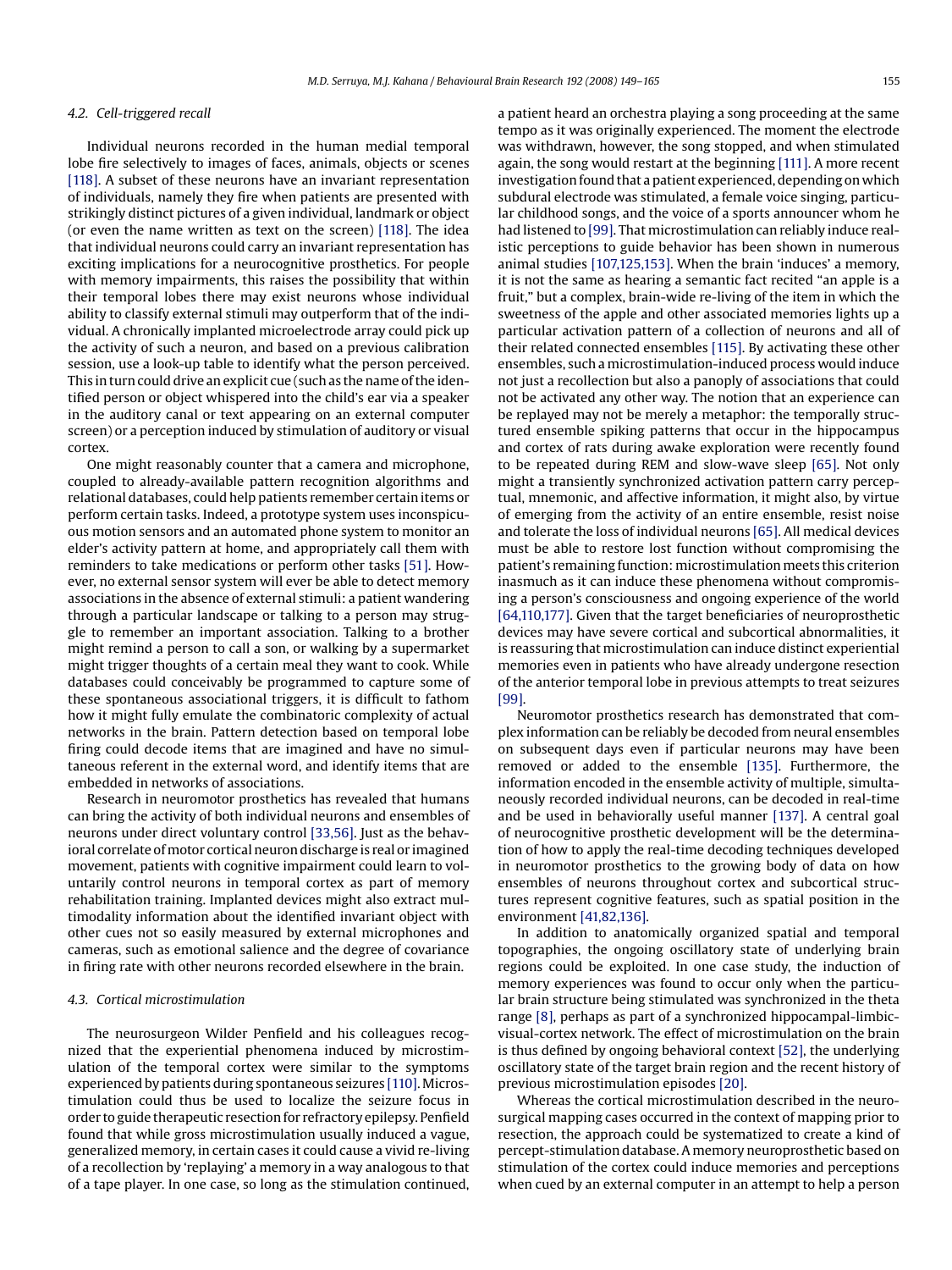#### *4.2. Cell-triggered recall*

Individual neurons recorded in the human medial temporal lobe fire selectively to images of faces, animals, objects or scenes [\[118\]. A](#page-15-2) subset of these neurons have an invariant representation of individuals, namely they fire when patients are presented with strikingly distinct pictures of a given individual, landmark or object (or even the name written as text on the screen) [\[118\].](#page-15-2) The idea that individual neurons could carry an invariant representation has exciting implications for a neurocognitive prosthetics. For people with memory impairments, this raises the possibility that within their temporal lobes there may exist neurons whose individual ability to classify external stimuli may outperform that of the individual. A chronically implanted microelectrode array could pick up the activity of such a neuron, and based on a previous calibration session, use a look-up table to identify what the person perceived. This in turn could drive an explicit cue (such as the name of the identified person or object whispered into the child's ear via a speaker in the auditory canal or text appearing on an external computer screen) or a perception induced by stimulation of auditory or visual cortex.

One might reasonably counter that a camera and microphone, coupled to already-available pattern recognition algorithms and relational databases, could help patients remember certain items or perform certain tasks. Indeed, a prototype system uses inconspicuous motion sensors and an automated phone system to monitor an elder's activity pattern at home, and appropriately call them with reminders to take medications or perform other tasks [\[51\]. H](#page-14-3)owever, no external sensor system will ever be able to detect memory associations in the absence of external stimuli: a patient wandering through a particular landscape or talking to a person may struggle to remember an important association. Talking to a brother might remind a person to call a son, or walking by a supermarket might trigger thoughts of a certain meal they want to cook. While databases could conceivably be programmed to capture some of these spontaneous associational triggers, it is difficult to fathom how it might fully emulate the combinatoric complexity of actual networks in the brain. Pattern detection based on temporal lobe firing could decode items that are imagined and have no simultaneous referent in the external word, and identify items that are embedded in networks of associations.

Research in neuromotor prosthetics has revealed that humans can bring the activity of both individual neurons and ensembles of neurons under direct voluntary control [\[33,56\]. J](#page-14-24)ust as the behavioral correlate of motor cortical neuron discharge is real or imagined movement, patients with cognitive impairment could learn to voluntarily control neurons in temporal cortex as part of memory rehabilitation training. Implanted devices might also extract multimodality information about the identified invariant object with other cues not so easily measured by external microphones and cameras, such as emotional salience and the degree of covariance in firing rate with other neurons recorded elsewhere in the brain.

## *4.3. Cortical microstimulation*

The neurosurgeon Wilder Penfield and his colleagues recognized that the experiential phenomena induced by microstimulation of the temporal cortex were similar to the symptoms experienced by patients during spontaneous seizures [\[110\]. M](#page-15-16)icrostimulation could thus be used to localize the seizure focus in order to guide therapeutic resection for refractory epilepsy. Penfield found that while gross microstimulation usually induced a vague, generalized memory, in certain cases it could cause a vivid re-living of a recollection by 'replaying' a memory in a way analogous to that of a tape player. In one case, so long as the stimulation continued, a patient heard an orchestra playing a song proceeding at the same tempo as it was originally experienced. The moment the electrode was withdrawn, however, the song stopped, and when stimulated again, the song would restart at the beginning [\[111\]. A](#page-15-17) more recent investigation found that a patient experienced, depending on which subdural electrode was stimulated, a female voice singing, particular childhood songs, and the voice of a sports announcer whom he had listened to [\[99\]. T](#page-15-18)hat microstimulation can reliably induce realistic perceptions to guide behavior has been shown in numerous animal studies [\[107,125,153\]. W](#page-15-19)hen the brain 'induces' a memory, it is not the same as hearing a semantic fact recited "an apple is a fruit," but a complex, brain-wide re-living of the item in which the sweetness of the apple and other associated memories lights up a particular activation pattern of a collection of neurons and all of their related connected ensembles [\[115\]. B](#page-15-20)y activating these other ensembles, such a microstimulation-induced process would induce not just a recollection but also a panoply of associations that could not be activated any other way. The notion that an experience can be replayed may not be merely a metaphor: the temporally structured ensemble spiking patterns that occur in the hippocampus and cortex of rats during awake exploration were recently found to be repeated during REM and slow-wave sleep [\[65\].](#page-14-0) Not only might a transiently synchronized activation pattern carry perceptual, mnemonic, and affective information, it might also, by virtue of emerging from the activity of an entire ensemble, resist noise and tolerate the loss of individual neurons [\[65\]. A](#page-14-0)ll medical devices must be able to restore lost function without compromising the patient's remaining function: microstimulation meets this criterion inasmuch as it can induce these phenomena without compromising a person's consciousness and ongoing experience of the world [\[64,110,177\]. G](#page-14-25)iven that the target beneficiaries of neuroprosthetic devices may have severe cortical and subcortical abnormalities, it is reassuring that microstimulation can induce distinct experiential memories even in patients who have already undergone resection of the anterior temporal lobe in previous attempts to treat seizures [\[99\].](#page-15-18)

Neuromotor prosthetics research has demonstrated that complex information can be reliably be decoded from neural ensembles on subsequent days even if particular neurons may have been removed or added to the ensemble [\[135\].](#page-15-21) Furthermore, the information encoded in the ensemble activity of multiple, simultaneously recorded individual neurons, can be decoded in real-time and be used in behaviorally useful manner [\[137\].](#page-15-22) A central goal of neurocognitive prosthetic development will be the determination of how to apply the real-time decoding techniques developed in neuromotor prosthetics to the growing body of data on how ensembles of neurons throughout cortex and subcortical structures represent cognitive features, such as spatial position in the environment [\[41,82,136\].](#page-14-26)

In addition to anatomically organized spatial and temporal topographies, the ongoing oscillatory state of underlying brain regions could be exploited. In one case study, the induction of memory experiences was found to occur only when the particular brain structure being stimulated was synchronized in the theta range [\[8\], p](#page-13-16)erhaps as part of a synchronized hippocampal-limbicvisual-cortex network. The effect of microstimulation on the brain is thus defined by ongoing behavioral context [\[52\], t](#page-14-27)he underlying oscillatory state of the target brain region and the recent history of previous microstimulation episodes [\[20\].](#page-13-15)

Whereas the cortical microstimulation described in the neurosurgical mapping cases occurred in the context of mapping prior to resection, the approach could be systematized to create a kind of percept-stimulation database. A memory neuroprosthetic based on stimulation of the cortex could induce memories and perceptions when cued by an external computer in an attempt to help a person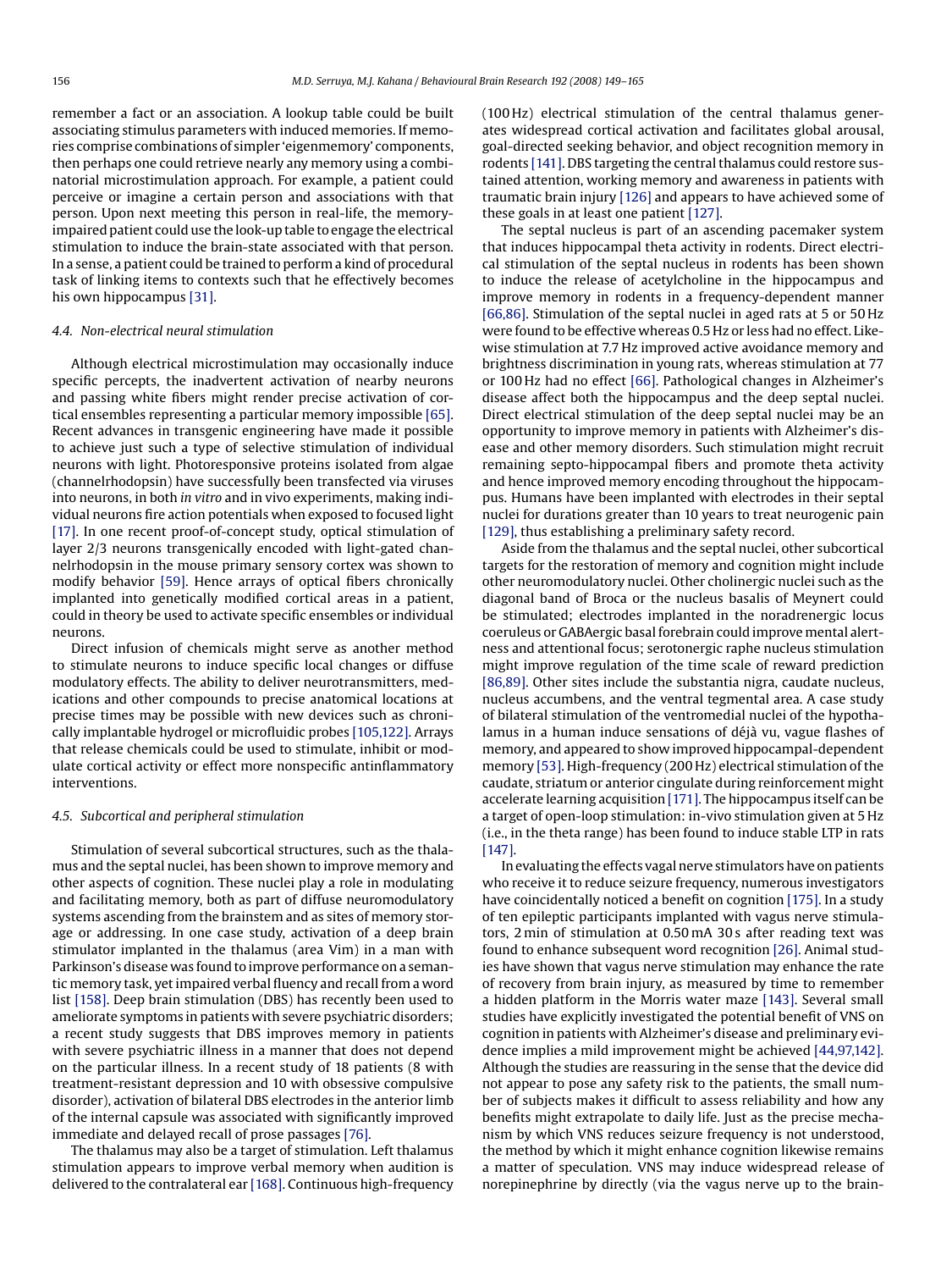remember a fact or an association. A lookup table could be built associating stimulus parameters with induced memories. If memories comprise combinations of simpler 'eigenmemory' components, then perhaps one could retrieve nearly any memory using a combinatorial microstimulation approach. For example, a patient could perceive or imagine a certain person and associations with that person. Upon next meeting this person in real-life, the memoryimpaired patient could use the look-up table to engage the electrical stimulation to induce the brain-state associated with that person. In a sense, a patient could be trained to perform a kind of procedural task of linking items to contexts such that he effectively becomes his own hippocampus [\[31\].](#page-14-29)

## *4.4. Non-electrical neural stimulation*

Although electrical microstimulation may occasionally induce specific percepts, the inadvertent activation of nearby neurons and passing white fibers might render precise activation of cortical ensembles representing a particular memory impossible [\[65\].](#page-14-0) Recent advances in transgenic engineering have made it possible to achieve just such a type of selective stimulation of individual neurons with light. Photoresponsive proteins isolated from algae (channelrhodopsin) have successfully been transfected via viruses into neurons, in both *in vitro* and in vivo experiments, making individual neurons fire action potentials when exposed to focused light [\[17\].](#page-13-17) In one recent proof-of-concept study, optical stimulation of layer 2/3 neurons transgenically encoded with light-gated channelrhodopsin in the mouse primary sensory cortex was shown to modify behavior [\[59\].](#page-14-8) Hence arrays of optical fibers chronically implanted into genetically modified cortical areas in a patient, could in theory be used to activate specific ensembles or individual neurons.

Direct infusion of chemicals might serve as another method to stimulate neurons to induce specific local changes or diffuse modulatory effects. The ability to deliver neurotransmitters, medications and other compounds to precise anatomical locations at precise times may be possible with new devices such as chronically implantable hydrogel or microfluidic probes [\[105,122\]. A](#page-15-23)rrays that release chemicals could be used to stimulate, inhibit or modulate cortical activity or effect more nonspecific antinflammatory interventions.

## *4.5. Subcortical and peripheral stimulation*

Stimulation of several subcortical structures, such as the thalamus and the septal nuclei, has been shown to improve memory and other aspects of cognition. These nuclei play a role in modulating and facilitating memory, both as part of diffuse neuromodulatory systems ascending from the brainstem and as sites of memory storage or addressing. In one case study, activation of a deep brain stimulator implanted in the thalamus (area Vim) in a man with Parkinson's disease was found to improve performance on a semantic memory task, yet impaired verbal fluency and recall from a word list [\[158\]. D](#page-16-15)eep brain stimulation (DBS) has recently been used to ameliorate symptoms in patients with severe psychiatric disorders; a recent study suggests that DBS improves memory in patients with severe psychiatric illness in a manner that does not depend on the particular illness. In a recent study of 18 patients (8 with treatment-resistant depression and 10 with obsessive compulsive disorder), activation of bilateral DBS electrodes in the anterior limb of the internal capsule was associated with significantly improved immediate and delayed recall of prose passages [\[76\].](#page-14-30)

The thalamus may also be a target of stimulation. Left thalamus stimulation appears to improve verbal memory when audition is delivered to the contralateral ear [\[168\]. C](#page-16-16)ontinuous high-frequency

(100 Hz) electrical stimulation of the central thalamus generates widespread cortical activation and facilitates global arousal, goal-directed seeking behavior, and object recognition memory in rodents [\[141\]. D](#page-15-24)BS targeting the central thalamus could restore sustained attention, working memory and awareness in patients with traumatic brain injury [\[126\]](#page-15-25) and appears to have achieved some of these goals in at least one patient [\[127\].](#page-15-26)

The septal nucleus is part of an ascending pacemaker system that induces hippocampal theta activity in rodents. Direct electrical stimulation of the septal nucleus in rodents has been shown to induce the release of acetylcholine in the hippocampus and improve memory in rodents in a frequency-dependent manner [\[66,86\]. S](#page-14-31)timulation of the septal nuclei in aged rats at 5 or 50 Hz were found to be effective whereas 0.5 Hz or less had no effect. Likewise stimulation at 7.7 Hz improved active avoidance memory and brightness discrimination in young rats, whereas stimulation at 77 or 100 Hz had no effect [\[66\]. P](#page-14-31)athological changes in Alzheimer's disease affect both the hippocampus and the deep septal nuclei. Direct electrical stimulation of the deep septal nuclei may be an opportunity to improve memory in patients with Alzheimer's disease and other memory disorders. Such stimulation might recruit remaining septo-hippocampal fibers and promote theta activity and hence improved memory encoding throughout the hippocampus. Humans have been implanted with electrodes in their septal nuclei for durations greater than 10 years to treat neurogenic pain [\[129\], t](#page-15-3)hus establishing a preliminary safety record.

Aside from the thalamus and the septal nuclei, other subcortical targets for the restoration of memory and cognition might include other neuromodulatory nuclei. Other cholinergic nuclei such as the diagonal band of Broca or the nucleus basalis of Meynert could be stimulated; electrodes implanted in the noradrenergic locus coeruleus or GABAergic basal forebrain could improve mental alertness and attentional focus; serotonergic raphe nucleus stimulation might improve regulation of the time scale of reward prediction [\[86,89\]. O](#page-14-5)ther sites include the substantia nigra, caudate nucleus, nucleus accumbens, and the ventral tegmental area. A case study of bilateral stimulation of the ventromedial nuclei of the hypothalamus in a human induce sensations of déjà vu, vague flashes of memory, and appeared to show improved hippocampal-dependent memory [\[53\]. H](#page-14-32)igh-frequency (200 Hz) electrical stimulation of the caudate, striatum or anterior cingulate during reinforcement might accelerate learning acquisition [\[171\]. T](#page-16-17)he hippocampus itself can be a target of open-loop stimulation: in-vivo stimulation given at 5 Hz (i.e., in the theta range) has been found to induce stable LTP in rats [\[147\].](#page-16-18)

In evaluating the effects vagal nerve stimulators have on patients who receive it to reduce seizure frequency, numerous investigators have coincidentally noticed a benefit on cognition [\[175\]. I](#page-16-19)n a study of ten epileptic participants implanted with vagus nerve stimulators, 2 min of stimulation at 0.50 mA 30 s after reading text was found to enhance subsequent word recognition [\[26\]. A](#page-13-18)nimal studies have shown that vagus nerve stimulation may enhance the rate of recovery from brain injury, as measured by time to remember a hidden platform in the Morris water maze [\[143\]. S](#page-15-27)everal small studies have explicitly investigated the potential benefit of VNS on cognition in patients with Alzheimer's disease and preliminary evidence implies a mild improvement might be achieved [\[44,97,142\].](#page-14-28) Although the studies are reassuring in the sense that the device did not appear to pose any safety risk to the patients, the small number of subjects makes it difficult to assess reliability and how any benefits might extrapolate to daily life. Just as the precise mechanism by which VNS reduces seizure frequency is not understood, the method by which it might enhance cognition likewise remains a matter of speculation. VNS may induce widespread release of norepinephrine by directly (via the vagus nerve up to the brain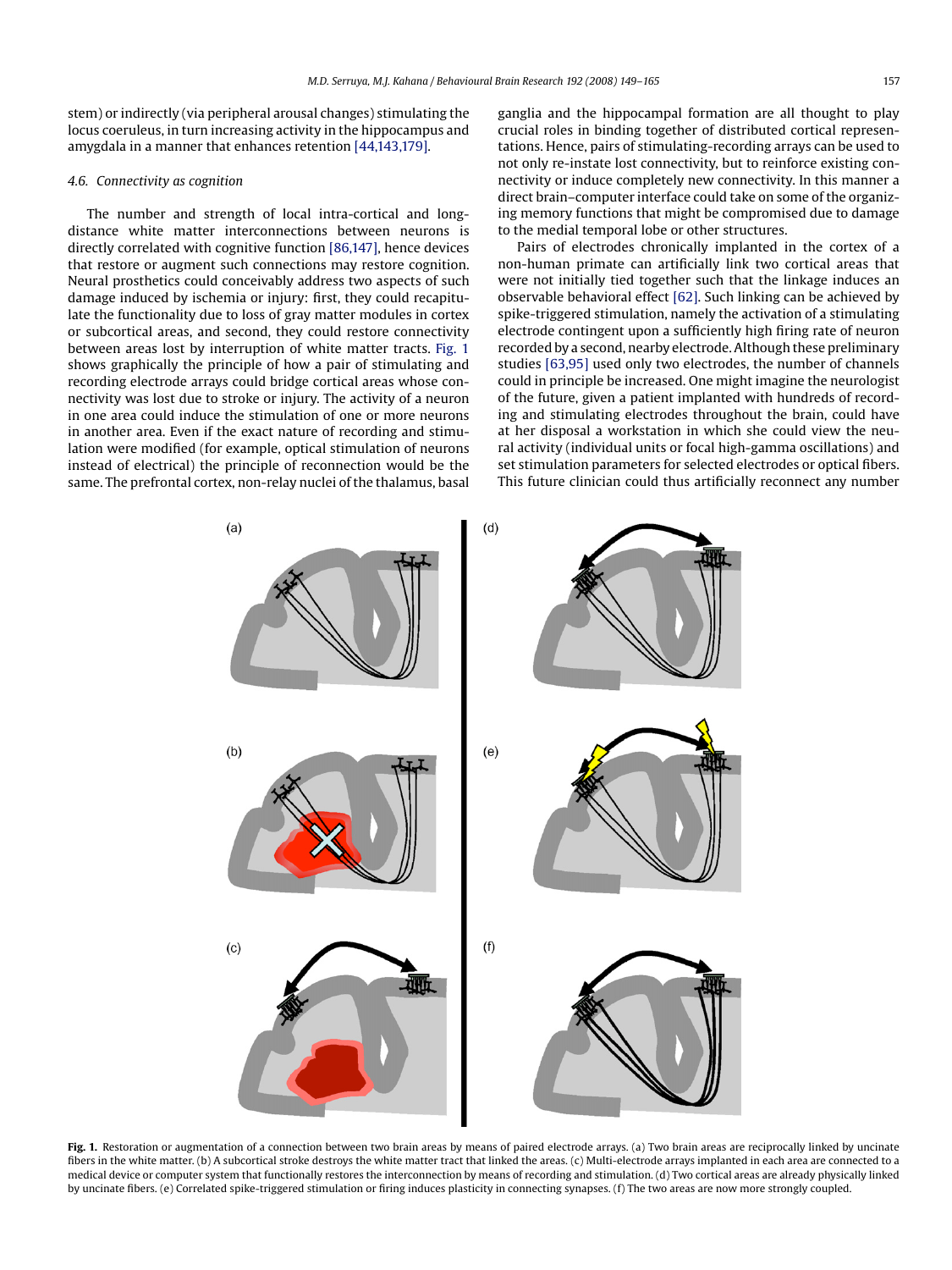stem) or indirectly (via peripheral arousal changes) stimulating the locus coeruleus, in turn increasing activity in the hippocampus and amygdala in a manner that enhances retention [\[44,143,179\].](#page-14-28)

## <span id="page-8-0"></span>*4.6. Connectivity as cognition*

The number and strength of local intra-cortical and longdistance white matter interconnections between neurons is directly correlated with cognitive function [\[86,147\], h](#page-14-5)ence devices that restore or augment such connections may restore cognition. Neural prosthetics could conceivably address two aspects of such damage induced by ischemia or injury: first, they could recapitulate the functionality due to loss of gray matter modules in cortex or subcortical areas, and second, they could restore connectivity between areas lost by interruption of white matter tracts. [Fig. 1](#page-8-0) shows graphically the principle of how a pair of stimulating and recording electrode arrays could bridge cortical areas whose connectivity was lost due to stroke or injury. The activity of a neuron in one area could induce the stimulation of one or more neurons in another area. Even if the exact nature of recording and stimulation were modified (for example, optical stimulation of neurons instead of electrical) the principle of reconnection would be the same. The prefrontal cortex, non-relay nuclei of the thalamus, basal ganglia and the hippocampal formation are all thought to play crucial roles in binding together of distributed cortical representations. Hence, pairs of stimulating-recording arrays can be used to not only re-instate lost connectivity, but to reinforce existing connectivity or induce completely new connectivity. In this manner a direct brain–computer interface could take on some of the organizing memory functions that might be compromised due to damage to the medial temporal lobe or other structures.

Pairs of electrodes chronically implanted in the cortex of a non-human primate can artificially link two cortical areas that were not initially tied together such that the linkage induces an observable behavioral effect [\[62\]. S](#page-14-34)uch linking can be achieved by spike-triggered stimulation, namely the activation of a stimulating electrode contingent upon a sufficiently high firing rate of neuron recorded by a second, nearby electrode. Although these preliminary studies [\[63,95\]](#page-14-33) used only two electrodes, the number of channels could in principle be increased. One might imagine the neurologist of the future, given a patient implanted with hundreds of recording and stimulating electrodes throughout the brain, could have at her disposal a workstation in which she could view the neural activity (individual units or focal high-gamma oscillations) and set stimulation parameters for selected electrodes or optical fibers. This future clinician could thus artificially reconnect any number



Fig. 1. Restoration or augmentation of a connection between two brain areas by means of paired electrode arrays. (a) Two brain areas are reciprocally linked by uncinate fibers in the white matter. (b) A subcortical stroke destroys the white matter tract that linked the areas. (c) Multi-electrode arrays implanted in each area are connected to a medical device or computer system that functionally restores the interconnection by means of recording and stimulation. (d) Two cortical areas are already physically linked by uncinate fibers. (e) Correlated spike-triggered stimulation or firing induces plasticity in connecting synapses. (f) The two areas are now more strongly coupled.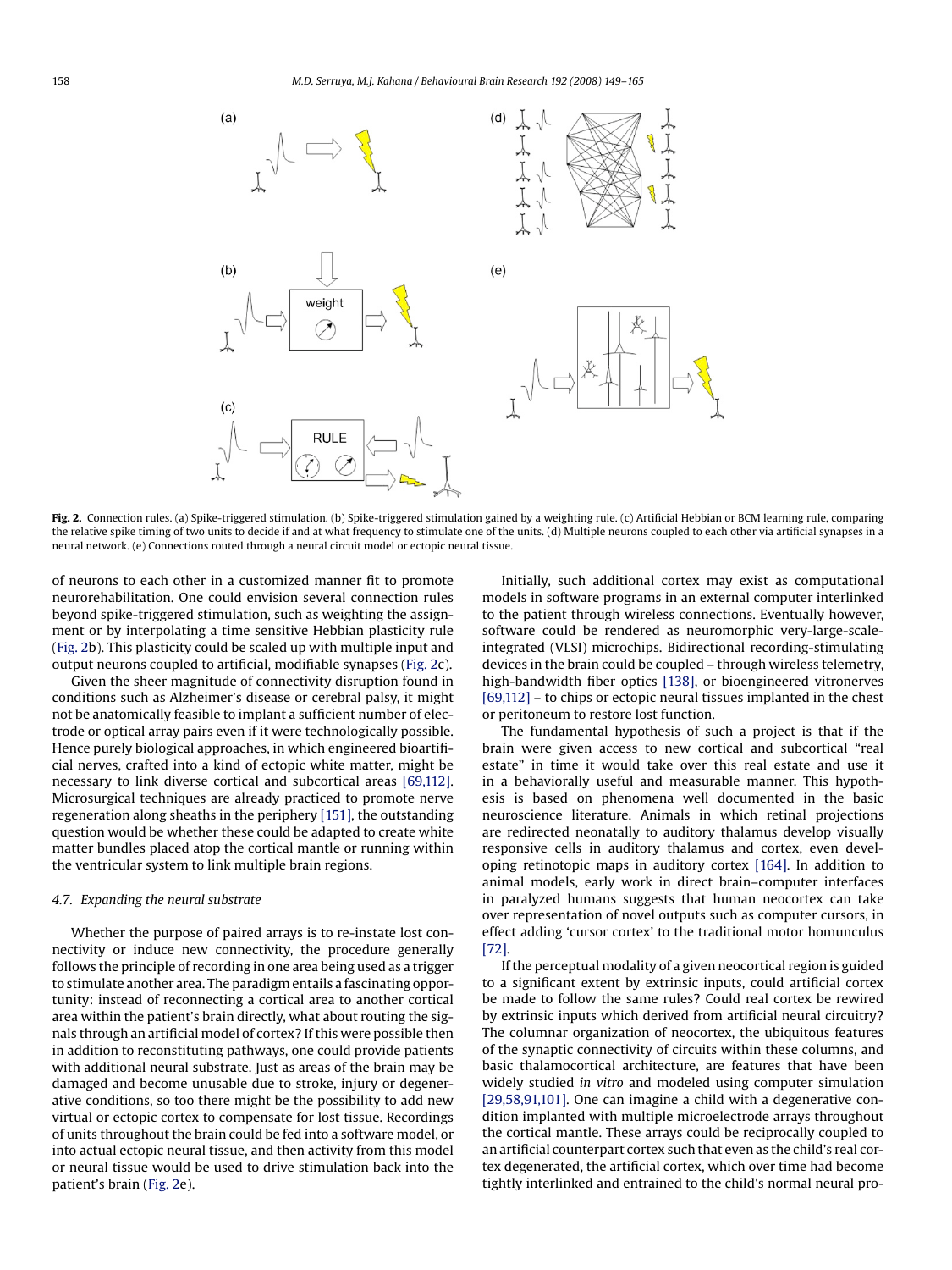<span id="page-9-0"></span>

Fig. 2. Connection rules. (a) Spike-triggered stimulation. (b) Spike-triggered stimulation gained by a weighting rule. (c) Artificial Hebbian or BCM learning rule, comparing the relative spike timing of two units to decide if and at what frequency to stimulate one of the units. (d) Multiple neurons coupled to each other via artificial synapses in a neural network. (e) Connections routed through a neural circuit model or ectopic neural tissue.

of neurons to each other in a customized manner fit to promote neurorehabilitation. One could envision several connection rules beyond spike-triggered stimulation, such as weighting the assignment or by interpolating a time sensitive Hebbian plasticity rule ([Fig. 2b\)](#page-9-0). This plasticity could be scaled up with multiple input and output neurons coupled to artificial, modifiable synapses [\(Fig. 2c\)](#page-9-0).

Given the sheer magnitude of connectivity disruption found in conditions such as Alzheimer's disease or cerebral palsy, it might not be anatomically feasible to implant a sufficient number of electrode or optical array pairs even if it were technologically possible. Hence purely biological approaches, in which engineered bioartificial nerves, crafted into a kind of ectopic white matter, might be necessary to link diverse cortical and subcortical areas [\[69,112\].](#page-14-36) Microsurgical techniques are already practiced to promote nerve regeneration along sheaths in the periphery [\[151\], t](#page-16-20)he outstanding question would be whether these could be adapted to create white matter bundles placed atop the cortical mantle or running within the ventricular system to link multiple brain regions.

## *4.7. Expanding the neural substrate*

Whether the purpose of paired arrays is to re-instate lost connectivity or induce new connectivity, the procedure generally follows the principle of recording in one area being used as a trigger to stimulate another area. The paradigm entails a fascinating opportunity: instead of reconnecting a cortical area to another cortical area within the patient's brain directly, what about routing the signals through an artificial model of cortex? If this were possible then in addition to reconstituting pathways, one could provide patients with additional neural substrate. Just as areas of the brain may be damaged and become unusable due to stroke, injury or degenerative conditions, so too there might be the possibility to add new virtual or ectopic cortex to compensate for lost tissue. Recordings of units throughout the brain could be fed into a software model, or into actual ectopic neural tissue, and then activity from this model or neural tissue would be used to drive stimulation back into the patient's brain ([Fig. 2e\)](#page-9-0).

Initially, such additional cortex may exist as computational models in software programs in an external computer interlinked to the patient through wireless connections. Eventually however, software could be rendered as neuromorphic very-large-scaleintegrated (VLSI) microchips. Bidirectional recording-stimulating devices in the brain could be coupled – through wireless telemetry, high-bandwidth fiber optics [\[138\],](#page-15-28) or bioengineered vitronerves [\[69,112\]](#page-14-36) – to chips or ectopic neural tissues implanted in the chest or peritoneum to restore lost function.

The fundamental hypothesis of such a project is that if the brain were given access to new cortical and subcortical "real estate" in time it would take over this real estate and use it in a behaviorally useful and measurable manner. This hypothesis is based on phenomena well documented in the basic neuroscience literature. Animals in which retinal projections are redirected neonatally to auditory thalamus develop visually responsive cells in auditory thalamus and cortex, even developing retinotopic maps in auditory cortex [\[164\].](#page-16-18) In addition to animal models, early work in direct brain–computer interfaces in paralyzed humans suggests that human neocortex can take over representation of novel outputs such as computer cursors, in effect adding 'cursor cortex' to the traditional motor homunculus [\[72\].](#page-14-37)

If the perceptual modality of a given neocortical region is guided to a significant extent by extrinsic inputs, could artificial cortex be made to follow the same rules? Could real cortex be rewired by extrinsic inputs which derived from artificial neural circuitry? The columnar organization of neocortex, the ubiquitous features of the synaptic connectivity of circuits within these columns, and basic thalamocortical architecture, are features that have been widely studied *in vitro* and modeled using computer simulation [\[29,58,91,101\]. O](#page-14-35)ne can imagine a child with a degenerative condition implanted with multiple microelectrode arrays throughout the cortical mantle. These arrays could be reciprocally coupled to an artificial counterpart cortex such that even as the child's real cortex degenerated, the artificial cortex, which over time had become tightly interlinked and entrained to the child's normal neural pro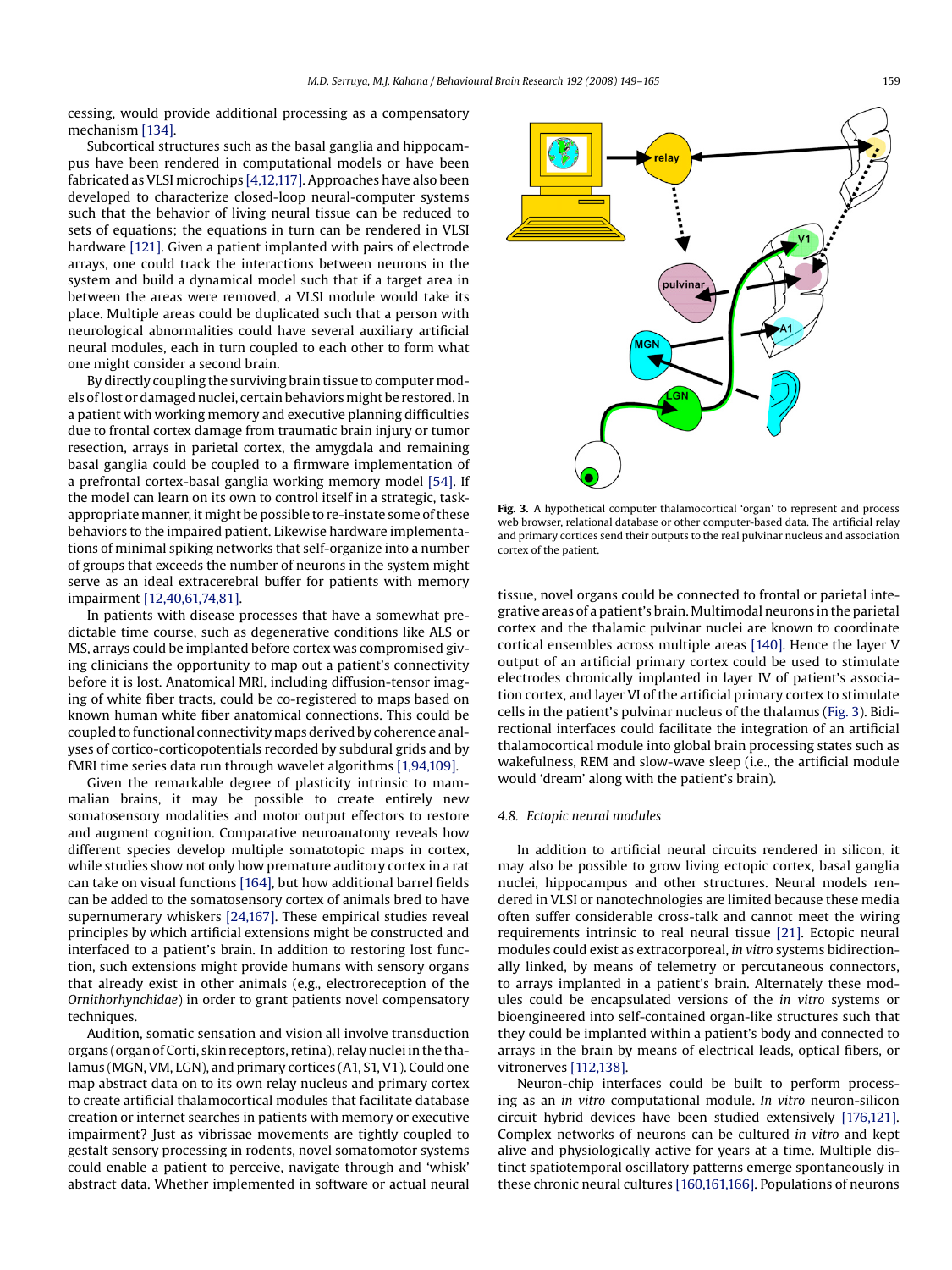<span id="page-10-0"></span>cessing, would provide additional processing as a compensatory mechanism [\[134\].](#page-15-29)

Subcortical structures such as the basal ganglia and hippocampus have been rendered in computational models or have been fabricated as VLSI microchips [\[4,12,117\]. A](#page-13-19)pproaches have also been developed to characterize closed-loop neural-computer systems such that the behavior of living neural tissue can be reduced to sets of equations; the equations in turn can be rendered in VLSI hardware [\[121\]. G](#page-15-30)iven a patient implanted with pairs of electrode arrays, one could track the interactions between neurons in the system and build a dynamical model such that if a target area in between the areas were removed, a VLSI module would take its place. Multiple areas could be duplicated such that a person with neurological abnormalities could have several auxiliary artificial neural modules, each in turn coupled to each other to form what one might consider a second brain.

By directly coupling the surviving brain tissue to computer models of lost or damaged nuclei, certain behaviorsmight be restored. In a patient with working memory and executive planning difficulties due to frontal cortex damage from traumatic brain injury or tumor resection, arrays in parietal cortex, the amygdala and remaining basal ganglia could be coupled to a firmware implementation of a prefrontal cortex-basal ganglia working memory model [\[54\].](#page-14-17) If the model can learn on its own to control itself in a strategic, taskappropriate manner, it might be possible to re-instate some of these behaviors to the impaired patient. Likewise hardware implementations of minimal spiking networks that self-organize into a number of groups that exceeds the number of neurons in the system might serve as an ideal extracerebral buffer for patients with memory impairment [\[12,40,61,74,81\].](#page-13-20)

In patients with disease processes that have a somewhat predictable time course, such as degenerative conditions like ALS or MS, arrays could be implanted before cortex was compromised giving clinicians the opportunity to map out a patient's connectivity before it is lost. Anatomical MRI, including diffusion-tensor imaging of white fiber tracts, could be co-registered to maps based on known human white fiber anatomical connections. This could be coupled to functional connectivitymaps derived by coherence analyses of cortico-corticopotentials recorded by subdural grids and by fMRI time series data run through wavelet algorithms [\[1,94,109\].](#page-13-21)

Given the remarkable degree of plasticity intrinsic to mammalian brains, it may be possible to create entirely new somatosensory modalities and motor output effectors to restore and augment cognition. Comparative neuroanatomy reveals how different species develop multiple somatotopic maps in cortex, while studies show not only how premature auditory cortex in a rat can take on visual functions [\[164\], b](#page-16-18)ut how additional barrel fields can be added to the somatosensory cortex of animals bred to have supernumerary whiskers [\[24,167\]. T](#page-13-22)hese empirical studies reveal principles by which artificial extensions might be constructed and interfaced to a patient's brain. In addition to restoring lost function, such extensions might provide humans with sensory organs that already exist in other animals (e.g., electroreception of the *Ornithorhynchidae*) in order to grant patients novel compensatory techniques.

Audition, somatic sensation and vision all involve transduction organs (organ of Corti, skin receptors, retina), relay nuclei in the thalamus (MGN, VM, LGN), and primary cortices (A1, S1, V1). Could one map abstract data on to its own relay nucleus and primary cortex to create artificial thalamocortical modules that facilitate database creation or internet searches in patients with memory or executive impairment? Just as vibrissae movements are tightly coupled to gestalt sensory processing in rodents, novel somatomotor systems could enable a patient to perceive, navigate through and 'whisk' abstract data. Whether implemented in software or actual neural



**Fig. 3.** A hypothetical computer thalamocortical 'organ' to represent and process web browser, relational database or other computer-based data. The artificial relay and primary cortices send their outputs to the real pulvinar nucleus and association cortex of the patient.

tissue, novel organs could be connected to frontal or parietal integrative areas of a patient's brain. Multimodal neurons in the parietal cortex and the thalamic pulvinar nuclei are known to coordinate cortical ensembles across multiple areas [\[140\]. H](#page-15-31)ence the layer V output of an artificial primary cortex could be used to stimulate electrodes chronically implanted in layer IV of patient's association cortex, and layer VI of the artificial primary cortex to stimulate cells in the patient's pulvinar nucleus of the thalamus ([Fig. 3\).](#page-10-0) Bidirectional interfaces could facilitate the integration of an artificial thalamocortical module into global brain processing states such as wakefulness, REM and slow-wave sleep (i.e., the artificial module would 'dream' along with the patient's brain).

#### *4.8. Ectopic neural modules*

In addition to artificial neural circuits rendered in silicon, it may also be possible to grow living ectopic cortex, basal ganglia nuclei, hippocampus and other structures. Neural models rendered in VLSI or nanotechnologies are limited because these media often suffer considerable cross-talk and cannot meet the wiring requirements intrinsic to real neural tissue [\[21\].](#page-13-23) Ectopic neural modules could exist as extracorporeal, *in vitro* systems bidirectionally linked, by means of telemetry or percutaneous connectors, to arrays implanted in a patient's brain. Alternately these modules could be encapsulated versions of the *in vitro* systems or bioengineered into self-contained organ-like structures such that they could be implanted within a patient's body and connected to arrays in the brain by means of electrical leads, optical fibers, or vitronerves [\[112,138\].](#page-15-32)

Neuron-chip interfaces could be built to perform processing as an *in vitro* computational module. *In vitro* neuron-silicon circuit hybrid devices have been studied extensively [\[176,121\].](#page-16-22) Complex networks of neurons can be cultured *in vitro* and kept alive and physiologically active for years at a time. Multiple distinct spatiotemporal oscillatory patterns emerge spontaneously in these chronic neural cultures [\[160,161,166\]. P](#page-16-21)opulations of neurons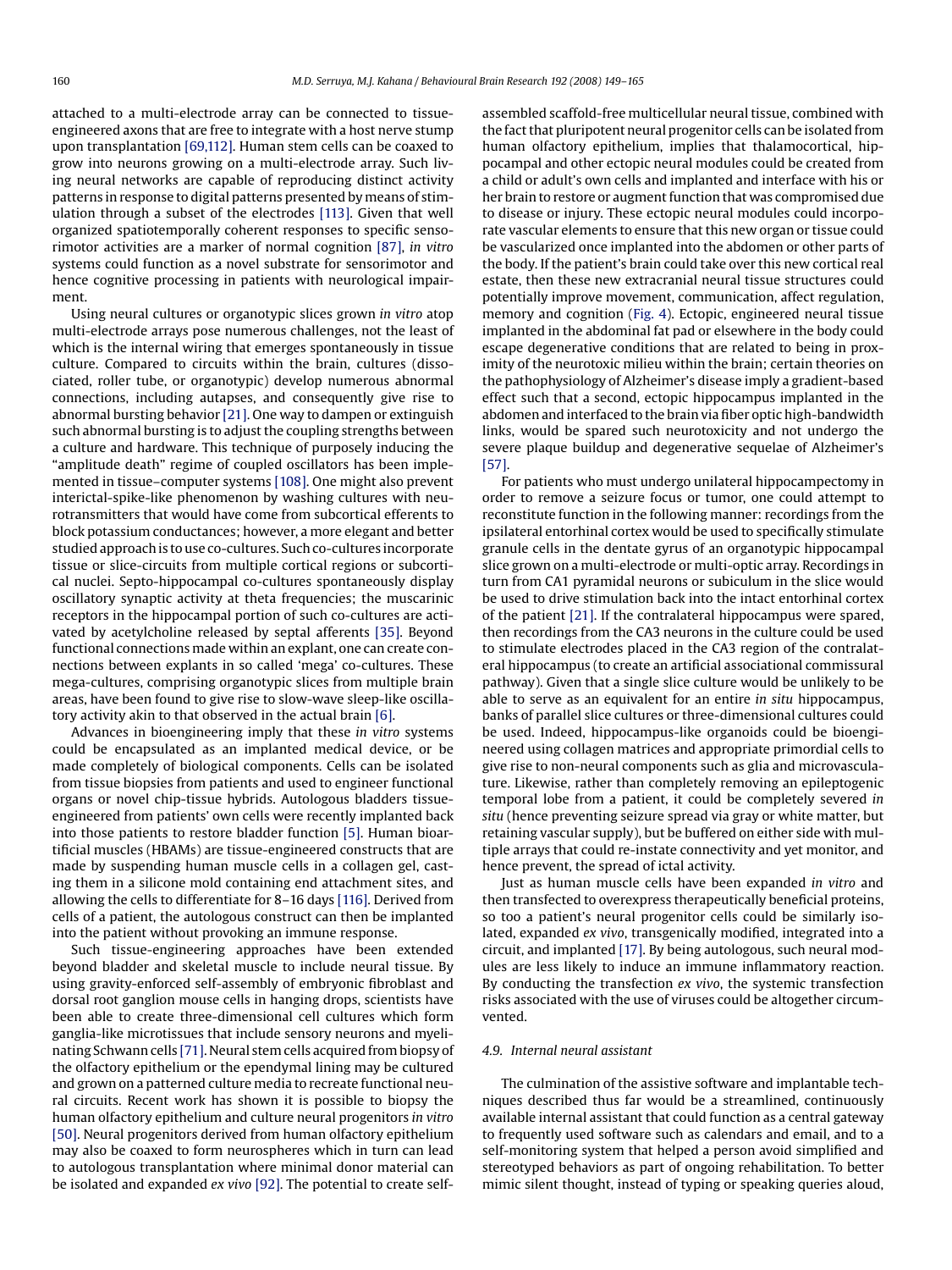attached to a multi-electrode array can be connected to tissueengineered axons that are free to integrate with a host nerve stump upon transplantation [\[69,112\]. H](#page-14-36)uman stem cells can be coaxed to grow into neurons growing on a multi-electrode array. Such living neural networks are capable of reproducing distinct activity patterns in response to digital patterns presented by means of stimulation through a subset of the electrodes [\[113\]. G](#page-15-33)iven that well organized spatiotemporally coherent responses to specific sensorimotor activities are a marker of normal cognition [\[87\],](#page-14-4) *in vitro* systems could function as a novel substrate for sensorimotor and hence cognitive processing in patients with neurological impairment.

Using neural cultures or organotypic slices grown *in vitro* atop multi-electrode arrays pose numerous challenges, not the least of which is the internal wiring that emerges spontaneously in tissue culture. Compared to circuits within the brain, cultures (dissociated, roller tube, or organotypic) develop numerous abnormal connections, including autapses, and consequently give rise to abnormal bursting behavior [\[21\]. O](#page-13-23)ne way to dampen or extinguish such abnormal bursting is to adjust the coupling strengths between a culture and hardware. This technique of purposely inducing the "amplitude death" regime of coupled oscillators has been implemented in tissue–computer systems [\[108\]. O](#page-15-34)ne might also prevent interictal-spike-like phenomenon by washing cultures with neurotransmitters that would have come from subcortical efferents to block potassium conductances; however, a more elegant and better studied approach is to use co-cultures. Such co-cultures incorporate tissue or slice-circuits from multiple cortical regions or subcortical nuclei. Septo-hippocampal co-cultures spontaneously display oscillatory synaptic activity at theta frequencies; the muscarinic receptors in the hippocampal portion of such co-cultures are activated by acetylcholine released by septal afferents [\[35\].](#page-14-38) Beyond functional connections made within an explant, one can create connections between explants in so called 'mega' co-cultures. These mega-cultures, comprising organotypic slices from multiple brain areas, have been found to give rise to slow-wave sleep-like oscillatory activity akin to that observed in the actual brain [\[6\].](#page-13-24)

Advances in bioengineering imply that these *in vitro* systems could be encapsulated as an implanted medical device, or be made completely of biological components. Cells can be isolated from tissue biopsies from patients and used to engineer functional organs or novel chip-tissue hybrids. Autologous bladders tissueengineered from patients' own cells were recently implanted back into those patients to restore bladder function [\[5\].](#page-13-25) Human bioartificial muscles (HBAMs) are tissue-engineered constructs that are made by suspending human muscle cells in a collagen gel, casting them in a silicone mold containing end attachment sites, and allowing the cells to differentiate for 8–16 days [\[116\]. D](#page-15-35)erived from cells of a patient, the autologous construct can then be implanted into the patient without provoking an immune response.

Such tissue-engineering approaches have been extended beyond bladder and skeletal muscle to include neural tissue. By using gravity-enforced self-assembly of embryonic fibroblast and dorsal root ganglion mouse cells in hanging drops, scientists have been able to create three-dimensional cell cultures which form ganglia-like microtissues that include sensory neurons and myelinating Schwann cells [\[71\]. N](#page-14-39)eural stem cells acquired from biopsy of the olfactory epithelium or the ependymal lining may be cultured and grown on a patterned culture media to recreate functional neural circuits. Recent work has shown it is possible to biopsy the human olfactory epithelium and culture neural progenitors *in vitro* [\[50\]. N](#page-14-40)eural progenitors derived from human olfactory epithelium may also be coaxed to form neurospheres which in turn can lead to autologous transplantation where minimal donor material can be isolated and expanded *ex vivo* [\[92\]. T](#page-15-36)he potential to create self-

assembled scaffold-free multicellular neural tissue, combined with the fact that pluripotent neural progenitor cells can be isolated from human olfactory epithelium, implies that thalamocortical, hippocampal and other ectopic neural modules could be created from a child or adult's own cells and implanted and interface with his or her brain to restore or augment function that was compromised due to disease or injury. These ectopic neural modules could incorporate vascular elements to ensure that this new organ or tissue could be vascularized once implanted into the abdomen or other parts of the body. If the patient's brain could take over this new cortical real estate, then these new extracranial neural tissue structures could potentially improve movement, communication, affect regulation, memory and cognition [\(Fig. 4\).](#page-12-0) Ectopic, engineered neural tissue implanted in the abdominal fat pad or elsewhere in the body could escape degenerative conditions that are related to being in proximity of the neurotoxic milieu within the brain; certain theories on the pathophysiology of Alzheimer's disease imply a gradient-based effect such that a second, ectopic hippocampus implanted in the abdomen and interfaced to the brain via fiber optic high-bandwidth links, would be spared such neurotoxicity and not undergo the severe plaque buildup and degenerative sequelae of Alzheimer's [\[57\].](#page-14-4)

For patients who must undergo unilateral hippocampectomy in order to remove a seizure focus or tumor, one could attempt to reconstitute function in the following manner: recordings from the ipsilateral entorhinal cortex would be used to specifically stimulate granule cells in the dentate gyrus of an organotypic hippocampal slice grown on a multi-electrode or multi-optic array. Recordings in turn from CA1 pyramidal neurons or subiculum in the slice would be used to drive stimulation back into the intact entorhinal cortex of the patient [\[21\]. I](#page-13-23)f the contralateral hippocampus were spared, then recordings from the CA3 neurons in the culture could be used to stimulate electrodes placed in the CA3 region of the contralateral hippocampus (to create an artificial associational commissural pathway). Given that a single slice culture would be unlikely to be able to serve as an equivalent for an entire *in situ* hippocampus, banks of parallel slice cultures or three-dimensional cultures could be used. Indeed, hippocampus-like organoids could be bioengineered using collagen matrices and appropriate primordial cells to give rise to non-neural components such as glia and microvasculature. Likewise, rather than completely removing an epileptogenic temporal lobe from a patient, it could be completely severed *in situ* (hence preventing seizure spread via gray or white matter, but retaining vascular supply), but be buffered on either side with multiple arrays that could re-instate connectivity and yet monitor, and hence prevent, the spread of ictal activity.

Just as human muscle cells have been expanded *in vitro* and then transfected to overexpress therapeutically beneficial proteins, so too a patient's neural progenitor cells could be similarly isolated, expanded *ex vivo*, transgenically modified, integrated into a circuit, and implanted [\[17\]. B](#page-13-17)y being autologous, such neural modules are less likely to induce an immune inflammatory reaction. By conducting the transfection *ex vivo*, the systemic transfection risks associated with the use of viruses could be altogether circumvented.

#### *4.9. Internal neural assistant*

The culmination of the assistive software and implantable techniques described thus far would be a streamlined, continuously available internal assistant that could function as a central gateway to frequently used software such as calendars and email, and to a self-monitoring system that helped a person avoid simplified and stereotyped behaviors as part of ongoing rehabilitation. To better mimic silent thought, instead of typing or speaking queries aloud,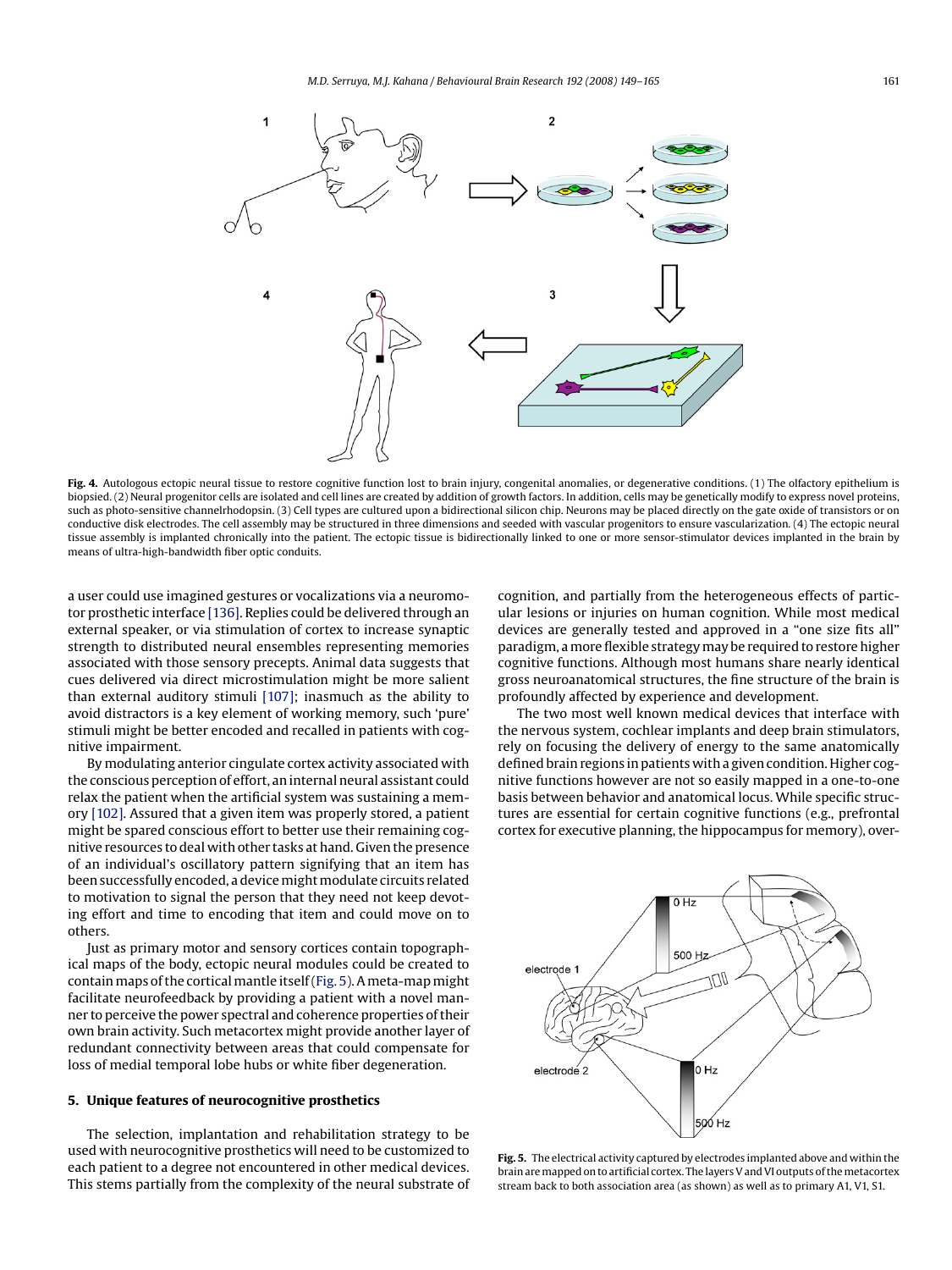<span id="page-12-0"></span>

<span id="page-12-1"></span>Fig. 4. Autologous ectopic neural tissue to restore cognitive function lost to brain injury, congenital anomalies, or degenerative conditions. (1) The olfactory epithelium is biopsied. (2) Neural progenitor cells are isolated and cell lines are created by addition of growth factors. In addition, cells may be genetically modify to express novel proteins, such as photo-sensitive channelrhodopsin. (3) Cell types are cultured upon a bidirectional silicon chip. Neurons may be placed directly on the gate oxide of transistors or on conductive disk electrodes. The cell assembly may be structured in three dimensions and seeded with vascular progenitors to ensure vascularization. (4) The ectopic neural tissue assembly is implanted chronically into the patient. The ectopic tissue is bidirectionally linked to one or more sensor-stimulator devices implanted in the brain by means of ultra-high-bandwidth fiber optic conduits.

a user could use imagined gestures or vocalizations via a neuromotor prosthetic interface [\[136\]. R](#page-15-0)eplies could be delivered through an external speaker, or via stimulation of cortex to increase synaptic strength to distributed neural ensembles representing memories associated with those sensory precepts. Animal data suggests that cues delivered via direct microstimulation might be more salient than external auditory stimuli [\[107\];](#page-15-19) inasmuch as the ability to avoid distractors is a key element of working memory, such 'pure' stimuli might be better encoded and recalled in patients with cognitive impairment.

By modulating anterior cingulate cortex activity associated with the conscious perception of effort, an internal neural assistant could relax the patient when the artificial system was sustaining a memory [\[102\]. A](#page-15-37)ssured that a given item was properly stored, a patient might be spared conscious effort to better use their remaining cognitive resources to deal with other tasks at hand. Given the presence of an individual's oscillatory pattern signifying that an item has been successfully encoded, a device might modulate circuits related to motivation to signal the person that they need not keep devoting effort and time to encoding that item and could move on to others.

Just as primary motor and sensory cortices contain topographical maps of the body, ectopic neural modules could be created to contain maps of the cortical mantle itself ([Fig. 5\).](#page-12-1) A meta-map might facilitate neurofeedback by providing a patient with a novel manner to perceive the power spectral and coherence properties of their own brain activity. Such metacortex might provide another layer of redundant connectivity between areas that could compensate for loss of medial temporal lobe hubs or white fiber degeneration.

## **5. Unique features of neurocognitive prosthetics**

The selection, implantation and rehabilitation strategy to be used with neurocognitive prosthetics will need to be customized to each patient to a degree not encountered in other medical devices. This stems partially from the complexity of the neural substrate of cognition, and partially from the heterogeneous effects of particular lesions or injuries on human cognition. While most medical devices are generally tested and approved in a "one size fits all" paradigm, amore flexible strategymay be required to restore higher cognitive functions. Although most humans share nearly identical gross neuroanatomical structures, the fine structure of the brain is profoundly affected by experience and development.

The two most well known medical devices that interface with the nervous system, cochlear implants and deep brain stimulators, rely on focusing the delivery of energy to the same anatomically defined brain regions in patients with a given condition. Higher cognitive functions however are not so easily mapped in a one-to-one basis between behavior and anatomical locus. While specific structures are essential for certain cognitive functions (e.g., prefrontal cortex for executive planning, the hippocampus for memory), over-



**Fig. 5.** The electrical activity captured by electrodes implanted above and within the brain are mapped on to artificial cortex. The layers V and VI outputs of the metacortex stream back to both association area (as shown) as well as to primary A1, V1, S1.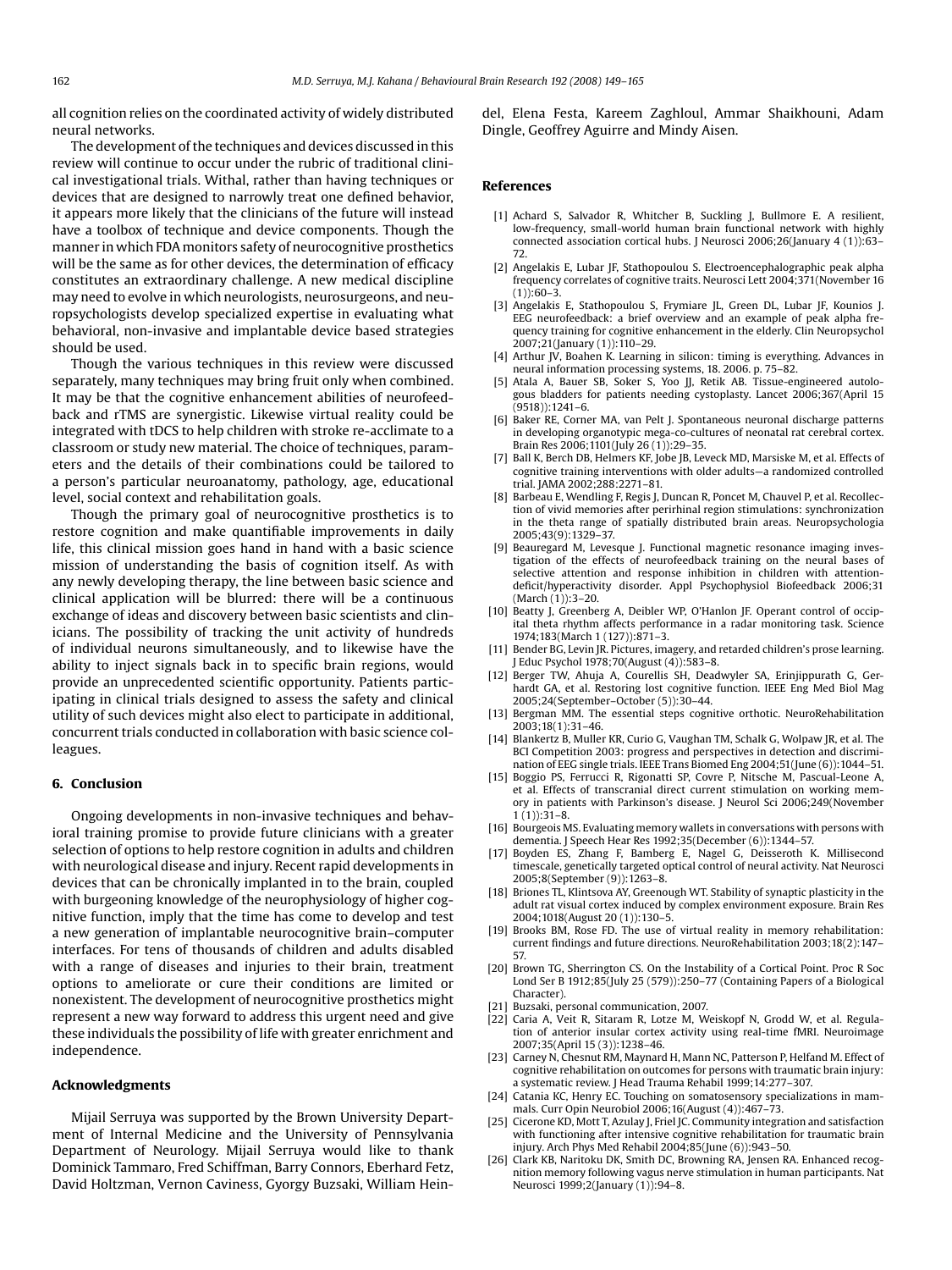<span id="page-13-25"></span><span id="page-13-24"></span><span id="page-13-21"></span><span id="page-13-19"></span><span id="page-13-16"></span><span id="page-13-12"></span><span id="page-13-8"></span><span id="page-13-6"></span>all cognition relies on the coordinated activity of widely distributed neural networks.

<span id="page-13-11"></span><span id="page-13-10"></span>The development of the techniques and devices discussed in this review will continue to occur under the rubric of traditional clinical investigational trials. Withal, rather than having techniques or devices that are designed to narrowly treat one defined behavior, it appears more likely that the clinicians of the future will instead have a toolbox of technique and device components. Though the manner in which FDA monitors safety of neurocognitive prosthetics will be the same as for other devices, the determination of efficacy constitutes an extraordinary challenge. A new medical discipline may need to evolve in which neurologists, neurosurgeons, and neuropsychologists develop specialized expertise in evaluating what behavioral, non-invasive and implantable device based strategies should be used.

<span id="page-13-20"></span><span id="page-13-13"></span><span id="page-13-9"></span><span id="page-13-4"></span><span id="page-13-1"></span>Though the various techniques in this review were discussed separately, many techniques may bring fruit only when combined. It may be that the cognitive enhancement abilities of neurofeedback and rTMS are synergistic. Likewise virtual reality could be integrated with tDCS to help children with stroke re-acclimate to a classroom or study new material. The choice of techniques, parameters and the details of their combinations could be tailored to a person's particular neuroanatomy, pathology, age, educational level, social context and rehabilitation goals.

<span id="page-13-23"></span><span id="page-13-17"></span><span id="page-13-15"></span><span id="page-13-3"></span><span id="page-13-2"></span><span id="page-13-0"></span>Though the primary goal of neurocognitive prosthetics is to restore cognition and make quantifiable improvements in daily life, this clinical mission goes hand in hand with a basic science mission of understanding the basis of cognition itself. As with any newly developing therapy, the line between basic science and clinical application will be blurred: there will be a continuous exchange of ideas and discovery between basic scientists and clinicians. The possibility of tracking the unit activity of hundreds of individual neurons simultaneously, and to likewise have the ability to inject signals back in to specific brain regions, would provide an unprecedented scientific opportunity. Patients participating in clinical trials designed to assess the safety and clinical utility of such devices might also elect to participate in additional, concurrent trials conducted in collaboration with basic science colleagues.

### <span id="page-13-22"></span><span id="page-13-18"></span><span id="page-13-14"></span><span id="page-13-7"></span><span id="page-13-5"></span>**6. Conclusion**

Ongoing developments in non-invasive techniques and behavioral training promise to provide future clinicians with a greater selection of options to help restore cognition in adults and children with neurological disease and injury. Recent rapid developments in devices that can be chronically implanted in to the brain, coupled with burgeoning knowledge of the neurophysiology of higher cognitive function, imply that the time has come to develop and test a new generation of implantable neurocognitive brain–computer interfaces. For tens of thousands of children and adults disabled with a range of diseases and injuries to their brain, treatment options to ameliorate or cure their conditions are limited or nonexistent. The development of neurocognitive prosthetics might represent a new way forward to address this urgent need and give these individuals the possibility of life with greater enrichment and independence.

#### **Acknowledgments**

Mijail Serruya was supported by the Brown University Department of Internal Medicine and the University of Pennsylvania Department of Neurology. Mijail Serruya would like to thank Dominick Tammaro, Fred Schiffman, Barry Connors, Eberhard Fetz, David Holtzman, Vernon Caviness, Gyorgy Buzsaki, William Heindel, Elena Festa, Kareem Zaghloul, Ammar Shaikhouni, Adam Dingle, Geoffrey Aguirre and Mindy Aisen.

## **References**

- [1] Achard S, Salvador R, Whitcher B, Suckling J, Bullmore E. A resilient, low-frequency, small-world human brain functional network with highly connected association cortical hubs. J Neurosci 2006;26(January 4 (1)):63– 72.
- [2] Angelakis E, Lubar JF, Stathopoulou S. Electroencephalographic peak alpha frequency correlates of cognitive traits. Neurosci Lett 2004;371(November 16  $(1)$ :60–3.
- [3] Angelakis E, Stathopoulou S, Frymiare JL, Green DL, Lubar JF, Kounios J. EEG neurofeedback: a brief overview and an example of peak alpha frequency training for cognitive enhancement in the elderly. Clin Neuropsychol 2007;21(January (1)):110–29.
- [4] Arthur JV, Boahen K. Learning in silicon: timing is everything. Advances in neural information processing systems, 18. 2006. p. 75–82.
- [5] Atala A, Bauer SB, Soker S, Yoo JJ, Retik AB. Tissue-engineered autologous bladders for patients needing cystoplasty. Lancet 2006;367(April 15 (9518)):1241–6.
- [6] Baker RE, Corner MA, van Pelt J. Spontaneous neuronal discharge patterns in developing organotypic mega-co-cultures of neonatal rat cerebral cortex. Brain Res 2006;1101(July 26 (1)):29–35.
- [7] Ball K, Berch DB, Helmers KF, Jobe JB, Leveck MD, Marsiske M, et al. Effects of cognitive training interventions with older adults—a randomized controlled trial. JAMA 2002;288:2271–81.
- [8] Barbeau E, Wendling F, Regis J, Duncan R, Poncet M, Chauvel P, et al. Recollection of vivid memories after perirhinal region stimulations: synchronization in the theta range of spatially distributed brain areas. Neuropsychologia 2005;43(9):1329–37.
- [9] Beauregard M, Levesque J. Functional magnetic resonance imaging investigation of the effects of neurofeedback training on the neural bases of selective attention and response inhibition in children with attentiondeficit/hyperactivity disorder. Appl Psychophysiol Biofeedback 2006;31 (March (1)):3–20.
- [10] Beatty J, Greenberg A, Deibler WP, O'Hanlon JF. Operant control of occipital theta rhythm affects performance in a radar monitoring task. Science 1974;183(March 1 (127)):871–3.
- [11] Bender BG, Levin JR. Pictures, imagery, and retarded children's prose learning. J Educ Psychol 1978;70(August (4)):583–8.
- [12] Berger TW, Ahuja A, Courellis SH, Deadwyler SA, Erinjippurath G, Gerhardt GA, et al. Restoring lost cognitive function. IEEE Eng Med Biol Mag 2005;24(September–October (5)):30–44.
- [13] Bergman MM. The essential steps cognitive orthotic. NeuroRehabilitation 2003;18(1):31–46.
- [14] Blankertz B, Muller KR, Curio G, Vaughan TM, Schalk G, Wolpaw JR, et al. The BCI Competition 2003: progress and perspectives in detection and discrimination of EEG single trials. IEEE Trans Biomed Eng 2004;51(June (6)):1044–51.
- [15] Boggio PS, Ferrucci R, Rigonatti SP, Covre P, Nitsche M, Pascual-Leone A, et al. Effects of transcranial direct current stimulation on working memory in patients with Parkinson's disease. J Neurol Sci 2006;249(November 1 (1)):31–8.
- [16] Bourgeois MS. Evaluating memory wallets in conversations with persons with dementia. J Speech Hear Res 1992;35(December (6)):1344–57.
- [17] Boyden ES, Zhang F, Bamberg E, Nagel G, Deisseroth K. Millisecond timescale, genetically targeted optical control of neural activity. Nat Neurosci 2005;8(September (9)):1263–8.
- [18] Briones TL, Klintsova AY, Greenough WT. Stability of synaptic plasticity in the adult rat visual cortex induced by complex environment exposure. Brain Res 2004;1018(August 20 (1)):130–5.
- [19] Brooks BM, Rose FD. The use of virtual reality in memory rehabilitation: current findings and future directions. NeuroRehabilitation 2003;18(2):147– 57.
- [20] Brown TG, Sherrington CS. On the Instability of a Cortical Point. Proc R Soc Lond Ser B 1912;85(July 25 (579)):250–77 (Containing Papers of a Biological Character).
- Buzsaki, personal communication, 2007.
- [22] Caria A, Veit R, Sitaram R, Lotze M, Weiskopf N, Grodd W, et al. Regulation of anterior insular cortex activity using real-time fMRI. Neuroimage 2007;35(April 15 (3)):1238–46.
- [23] Carney N, Chesnut RM, Maynard H, Mann NC, Patterson P, Helfand M. Effect of cognitive rehabilitation on outcomes for persons with traumatic brain injury: a systematic review. J Head Trauma Rehabil 1999;14:277–307.
- [24] Catania KC, Henry EC. Touching on somatosensory specializations in mammals. Curr Opin Neurobiol 2006;16(August (4)):467–73.
- [25] Cicerone KD, Mott T, Azulay J, Friel JC. Community integration and satisfaction with functioning after intensive cognitive rehabilitation for traumatic brain injury. Arch Phys Med Rehabil 2004;85(June (6)):943–50.
- [26] Clark KB, Naritoku DK, Smith DC, Browning RA, Jensen RA. Enhanced recognition memory following vagus nerve stimulation in human participants. Nat Neurosci 1999;2(January (1)):94–8.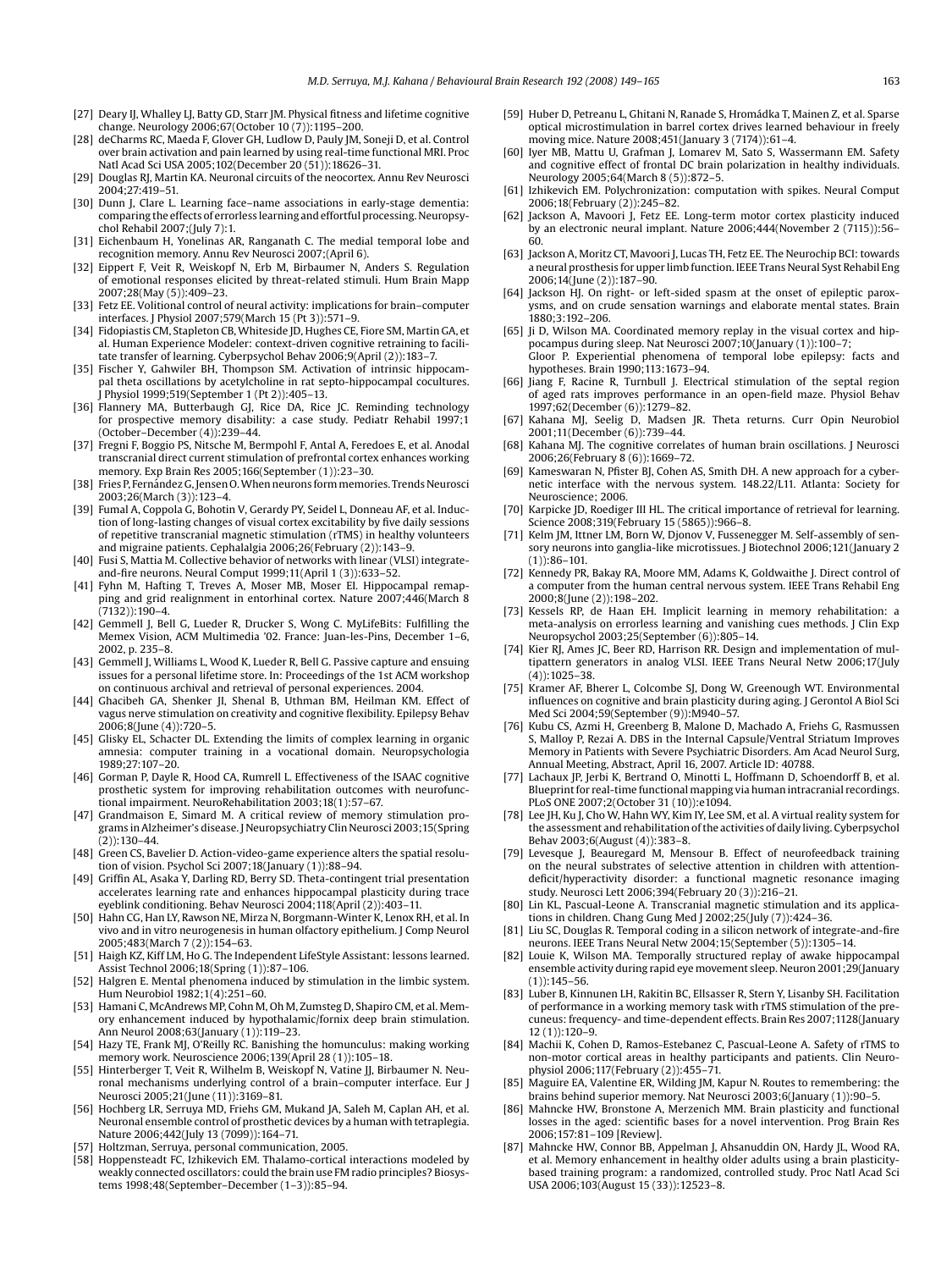- <span id="page-14-38"></span><span id="page-14-36"></span><span id="page-14-35"></span><span id="page-14-34"></span><span id="page-14-33"></span><span id="page-14-31"></span><span id="page-14-29"></span><span id="page-14-25"></span><span id="page-14-24"></span><span id="page-14-22"></span><span id="page-14-21"></span><span id="page-14-20"></span><span id="page-14-15"></span><span id="page-14-12"></span><span id="page-14-8"></span><span id="page-14-0"></span>[27] Deary IJ, Whalley LJ, Batty GD, Starr JM. Physical fitness and lifetime cognitive change. Neurology 2006;67(October 10 (7)):1195–200.
- <span id="page-14-9"></span>[28] deCharms RC, Maeda F, Glover GH, Ludlow D, Pauly JM, Soneji D, et al. Control over brain activation and pain learned by using real-time functional MRI. Proc Natl Acad Sci USA 2005;102(December 20 (51)):18626–31.
- <span id="page-14-39"></span>[29] Douglas RJ, Martin KA. Neuronal circuits of the neocortex. Annu Rev Neurosci 2004;27:419–51.
- <span id="page-14-37"></span><span id="page-14-26"></span>[30] Dunn J, Clare L. Learning face–name associations in early-stage dementia: comparing the effects of errorless learning and effortful processing. Neuropsychol Rehabil 2007;(July 7):1.
- <span id="page-14-11"></span>[31] Eichenbaum H, Yonelinas AR, Ranganath C. The medial temporal lobe and recognition memory. Annu Rev Neurosci 2007;(April 6).
- <span id="page-14-2"></span>[32] Eippert F, Veit R, Weiskopf N, Erb M, Birbaumer N, Anders S, Regulation of emotional responses elicited by threat-related stimuli. Hum Brain Mapp 2007;28(May (5)):409–23.
- [33] Fetz EE. Volitional control of neural activity: implications for brain–computer interfaces. J Physiol 2007;579(March 15 (Pt 3)):571–9.
- <span id="page-14-28"></span><span id="page-14-6"></span>[34] Fidopiastis CM, Stapleton CB, Whiteside JD, Hughes CE, Fiore SM, Martin GA, et al. Human Experience Modeler: context-driven cognitive retraining to facilitate transfer of learning. Cyberpsychol Behav 2006;9(April (2)):183–7.
- <span id="page-14-30"></span><span id="page-14-14"></span>[35] Fischer Y, Gahwiler BH, Thompson SM. Activation of intrinsic hippocampal theta oscillations by acetylcholine in rat septo-hippocampal cocultures. J Physiol 1999;519(September 1 (Pt 2)):405–13.
- <span id="page-14-1"></span>[36] Flannery MA, Butterbaugh GJ, Rice DA, Rice JC. Reminding technology for prospective memory disability: a case study. Pediatr Rehabil 1997;1 (October–December (4)):239–44.
- <span id="page-14-13"></span>[37] Fregni F, Boggio PS, Nitsche M, Bermpohl F, Antal A, Feredoes E, et al. Anodal transcranial direct current stimulation of prefrontal cortex enhances working memory. Exp Brain Res 2005;166(September (1)):23–30.
- <span id="page-14-7"></span>[38] Fries P, Fernández G, Jensen O. When neurons form memories. Trends Neurosci 2003;26(March (3)):123–4.
- <span id="page-14-23"></span>[39] Fumal A, Coppola G, Bohotin V, Gerardy PY, Seidel L, Donneau AF, et al. Induction of long-lasting changes of visual cortex excitability by five daily sessions of repetitive transcranial magnetic stimulation (rTMS) in healthy volunteers and migraine patients. Cephalalgia 2006;26(February (2)):143–9.
- <span id="page-14-40"></span><span id="page-14-16"></span>[40] Fusi S, Mattia M. Collective behavior of networks with linear (VLSI) integrateand-fire neurons. Neural Comput 1999;11(April 1 (3)):633–52.
- <span id="page-14-3"></span>[41] Fyhn M, Hafting T, Treves A, Moser MB, Moser EI. Hippocampal remapping and grid realignment in entorhinal cortex. Nature 2007;446(March 8 (7132)):190–4.
- <span id="page-14-32"></span><span id="page-14-27"></span><span id="page-14-18"></span>[42] Gemmell J, Bell G, Lueder R, Drucker S, Wong C. MyLifeBits: Fulfilling the Memex Vision, ACM Multimedia '02. France: Juan-les-Pins, December 1–6, 2002, p. 235–8.
- <span id="page-14-17"></span>[43] Gemmell J, Williams L, Wood K, Lueder R, Bell G. Passive capture and ensuing issues for a personal lifetime store. In: Proceedings of the 1st ACM workshop on continuous archival and retrieval of personal experiences. 2004.
- <span id="page-14-19"></span><span id="page-14-10"></span>[44] Ghacibeh GA, Shenker JI, Shenal B, Uthman BM, Heilman KM. Effect of vagus nerve stimulation on creativity and cognitive flexibility. Epilepsy Behav 2006;8(June (4)):720–5.
- <span id="page-14-5"></span>[45] Glisky EL, Schacter DL. Extending the limits of complex learning in organic amnesia: computer training in a vocational domain. Neuropsychologia 1989;27:107–20.
- <span id="page-14-4"></span>[46] Gorman P, Dayle R, Hood CA, Rumrell L. Effectiveness of the ISAAC cognitive prosthetic system for improving rehabilitation outcomes with neurofunctional impairment. NeuroRehabilitation 2003;18(1):57–67.
- [47] Grandmaison E, Simard M. A critical review of memory stimulation programs in Alzheimer's disease. J Neuropsychiatry Clin Neurosci 2003;15(Spring (2)):130–44.
- [48] Green CS, Bavelier D. Action-video-game experience alters the spatial resolution of vision. Psychol Sci 2007;18(January (1)):88–94.
- [49] Griffin AL, Asaka Y, Darling RD, Berry SD. Theta-contingent trial presentation accelerates learning rate and enhances hippocampal plasticity during trace eyeblink conditioning. Behav Neurosci 2004;118(April (2)):403–11.
- [50] Hahn CG, Han LY, Rawson NE, Mirza N, Borgmann-Winter K, Lenox RH, et al. In vivo and in vitro neurogenesis in human olfactory epithelium. J Comp Neurol 2005;483(March 7 (2)):154–63.
- [51] Haigh KZ, Kiff LM, Ho G. The Independent LifeStyle Assistant: lessons learned. Assist Technol 2006;18(Spring (1)):87–106.
- [52] Halgren E. Mental phenomena induced by stimulation in the limbic system. Hum Neurobiol 1982;1(4):251–60.
- [53] Hamani C, McAndrews MP, Cohn M, Oh M, Zumsteg D, Shapiro CM, et al. Memory enhancement induced by hypothalamic/fornix deep brain stimulation. Ann Neurol 2008;63(January (1)):119–23.
- [54] Hazy TE, Frank MJ, O'Reilly RC. Banishing the homunculus: making working memory work. Neuroscience 2006;139(April 28 (1)):105–18.
- [55] Hinterberger T, Veit R, Wilhelm B, Weiskopf N, Vatine JJ, Birbaumer N. Neuronal mechanisms underlying control of a brain–computer interface. Eur J Neurosci 2005;21(June (11)):3169–81.
- [56] Hochberg LR, Serruya MD, Friehs GM, Mukand JA, Saleh M, Caplan AH, et al. Neuronal ensemble control of prosthetic devices by a human with tetraplegia. Nature 2006;442(July 13 (7099)):164–71.
- [57] Holtzman, Serruya, personal communication, 2005.
- [58] Hoppensteadt FC, Izhikevich EM. Thalamo-cortical interactions modeled by weakly connected oscillators: could the brain use FM radio principles? Biosystems 1998;48(September–December (1–3)):85–94.
- [59] Huber D, Petreanu L, Ghitani N, Ranade S, Hromadka T, Mainen Z, et al. Sparse ´ optical microstimulation in barrel cortex drives learned behaviour in freely moving mice. Nature 2008;451(January 3 (7174)):61–4.
- [60] Iyer MB, Mattu U, Grafman J, Lomarev M, Sato S, Wassermann EM. Safety and cognitive effect of frontal DC brain polarization in healthy individuals. Neurology 2005;64(March 8 (5)):872–5.
- [61] Izhikevich EM. Polychronization: computation with spikes. Neural Comput 2006;18(February (2)):245–82.
- [62] Jackson A, Mavoori J, Fetz EE. Long-term motor cortex plasticity induced by an electronic neural implant. Nature 2006;444(November 2 (7115)):56– 60.
- [63] Jackson A, Moritz CT, Mavoori J, Lucas TH, Fetz EE. The Neurochip BCI: towards a neural prosthesis for upper limb function. IEEE Trans Neural Syst Rehabil Eng 2006;14(June (2)):187–90.
- [64] Jackson HJ. On right- or left-sided spasm at the onset of epileptic paroxysms, and on crude sensation warnings and elaborate mental states. Brain 1880;3:192–206.
- [65] Ji D, Wilson MA. Coordinated memory replay in the visual cortex and hippocampus during sleep. Nat Neurosci 2007;10(January (1)):100–7; Gloor P. Experiential phenomena of temporal lobe epilepsy: facts and hypotheses. Brain 1990;113:1673–94.
- [66] Jiang F, Racine R, Turnbull J. Electrical stimulation of the septal region of aged rats improves performance in an open-field maze. Physiol Behav 1997;62(December (6)):1279–82.
- [67] Kahana MJ, Seelig D, Madsen JR. Theta returns. Curr Opin Neurobiol 2001;11(December (6)):739–44.
- [68] Kahana MJ. The cognitive correlates of human brain oscillations. J Neurosci 2006;26(February 8 (6)):1669–72.
- [69] Kameswaran N, Pfister BJ, Cohen AS, Smith DH. A new approach for a cybernetic interface with the nervous system. 148.22/L11. Atlanta: Society for Neuroscience; 2006.
- [70] Karpicke JD, Roediger III HL. The critical importance of retrieval for learning. Science 2008;319(February 15 (5865)):966–8.
- [71] Kelm JM, Ittner LM, Born W, Djonov V, Fussenegger M. Self-assembly of sensory neurons into ganglia-like microtissues. J Biotechnol 2006;121(January 2  $(1)$ :86-101.
- [72] Kennedy PR, Bakay RA, Moore MM, Adams K, Goldwaithe I. Direct control of a computer from the human central nervous system. IEEE Trans Rehabil Eng 2000;8(June (2)):198–202.
- [73] Kessels RP, de Haan EH. Implicit learning in memory rehabilitation: a meta-analysis on errorless learning and vanishing cues methods. J Clin Exp Neuropsychol 2003;25(September (6)):805–14.
- [74] Kier RJ, Ames JC, Beer RD, Harrison RR. Design and implementation of multipattern generators in analog VLSI. IEEE Trans Neural Netw 2006;17(July (4)):1025–38.
- [75] Kramer AF, Bherer L, Colcombe SJ, Dong W, Greenough WT. Environmental influences on cognitive and brain plasticity during aging. J Gerontol A Biol Sci Med Sci 2004;59(September (9)):M940–57.
- [76] Kubu CS, Azmi H, Greenberg B, Malone D, Machado A, Friehs G, Rasmussen S, Malloy P, Rezai A. DBS in the Internal Capsule/Ventral Striatum Improves Memory in Patients with Severe Psychiatric Disorders. Am Acad Neurol Surg, Annual Meeting, Abstract, April 16, 2007. Article ID: 40788.
- [77] Lachaux JP, Jerbi K, Bertrand O, Minotti L, Hoffmann D, Schoendorff B, et al. Blueprint for real-time functional mapping via human intracranial recordings. PLoS ONE 2007;2(October 31 (10)):e1094.
- [78] Lee JH, Ku J, Cho W, Hahn WY, Kim IY, Lee SM, et al. A virtual reality system for the assessment and rehabilitation of the activities of daily living. Cyberpsychol Behav 2003;6(August (4)):383–8.
- [79] Levesque J, Beauregard M, Mensour B. Effect of neurofeedback training on the neural substrates of selective attention in children with attentiondeficit/hyperactivity disorder: a functional magnetic resonance imaging study. Neurosci Lett 2006;394(February 20 (3)):216–21.
- [80] Lin KL, Pascual-Leone A. Transcranial magnetic stimulation and its applications in children. Chang Gung Med J 2002;25(July (7)):424–36.
- [81] Liu SC, Douglas R. Temporal coding in a silicon network of integrate-and-fire neurons. IEEE Trans Neural Netw 2004;15(September (5)):1305–14.
- [82] Louie K, Wilson MA. Temporally structured replay of awake hippocampal ensemble activity during rapid eye movement sleep. Neuron 2001;29(January (1)):145–56.
- [83] Luber B, Kinnunen LH, Rakitin BC, Ellsasser R, Stern Y, Lisanby SH. Facilitation of performance in a working memory task with rTMS stimulation of the precuneus: frequency- and time-dependent effects. Brain Res 2007;1128(January 12 (1)):120–9.
- [84] Machii K, Cohen D, Ramos-Estebanez C, Pascual-Leone A. Safety of rTMS to non-motor cortical areas in healthy participants and patients. Clin Neurophysiol 2006;117(February (2)):455–71.
- [85] Maguire EA, Valentine ER, Wilding JM, Kapur N. Routes to remembering: the brains behind superior memory. Nat Neurosci 2003;6(January (1)):90–5.
- [86] Mahncke HW, Bronstone A, Merzenich MM. Brain plasticity and functional losses in the aged: scientific bases for a novel intervention. Prog Brain Res 2006;157:81–109 [Review].
- [87] Mahncke HW, Connor BB, Appelman J, Ahsanuddin ON, Hardy JL, Wood RA, et al. Memory enhancement in healthy older adults using a brain plasticitybased training program: a randomized, controlled study. Proc Natl Acad Sci USA 2006;103(August 15 (33)):12523–8.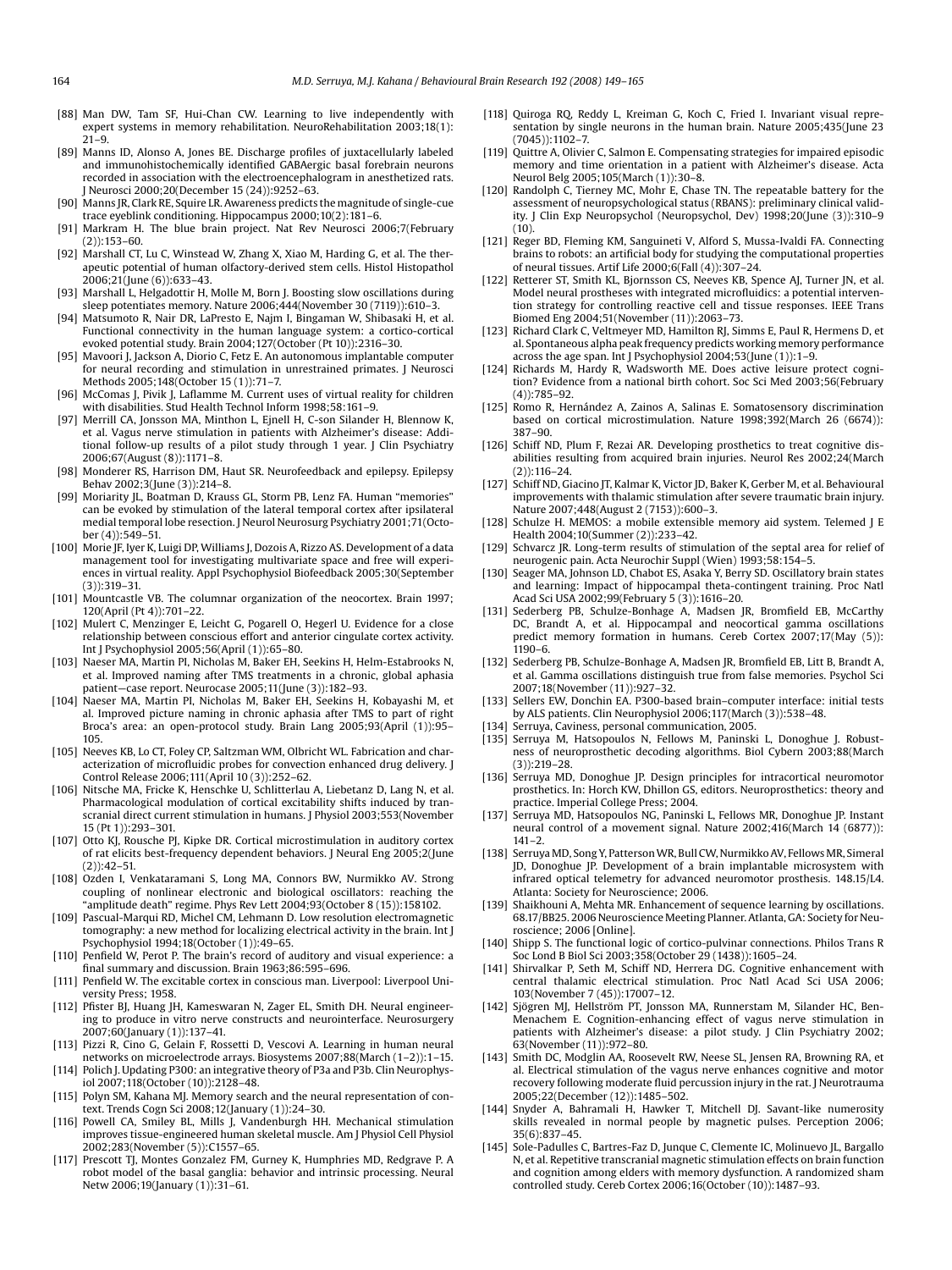- <span id="page-15-36"></span><span id="page-15-30"></span><span id="page-15-26"></span><span id="page-15-25"></span><span id="page-15-18"></span><span id="page-15-15"></span><span id="page-15-9"></span><span id="page-15-8"></span><span id="page-15-4"></span><span id="page-15-2"></span>[88] Man DW, Tam SF, Hui-Chan CW. Learning to live independently with expert systems in memory rehabilitation. NeuroRehabilitation 2003;18(1): 21–9.
- <span id="page-15-1"></span>[89] Manns ID, Alonso A, Jones BE. Discharge profiles of juxtacellularly labeled and immunohistochemically identified GABAergic basal forebrain neurons recorded in association with the electroencephalogram in anesthetized rats. J Neurosci 2000;20(December 15 (24)):9252–63.
- <span id="page-15-13"></span><span id="page-15-3"></span>[90] Manns JR, Clark RE, Squire LR. Awareness predicts the magnitude of single-cue trace eyeblink conditioning. Hippocampus 2000;10(2):181–6.
- <span id="page-15-10"></span>[91] Markram H. The blue brain project. Nat Rev Neurosci 2006;7(February (2)):153–60.
- <span id="page-15-37"></span>[92] Marshall CT, Lu C, Winstead W, Zhang X, Xiao M, Harding G, et al. The therapeutic potential of human olfactory-derived stem cells. Histol Histopathol 2006;21(June (6)):633–43.
- <span id="page-15-5"></span>[93] Marshall L, Helgadottir H, Molle M, Born J. Boosting slow oscillations during sleep potentiates memory. Nature 2006;444(November 30 (7119)):610-3.
- <span id="page-15-11"></span>[94] Matsumoto R, Nair DR, LaPresto E, Najm I, Bingaman W, Shibasaki H, et al. Functional connectivity in the human language system: a cortico-cortical evoked potential study. Brain 2004;127(October (Pt 10)):2316–30.
- <span id="page-15-29"></span><span id="page-15-21"></span>[95] Mavoori J, Jackson A, Diorio C, Fetz E. An autonomous implantable computer for neural recording and stimulation in unrestrained primates. J Neurosci Methods 2005;148(October 15 (1)):71–7.
- <span id="page-15-23"></span>[96] McComas J, Pivik J, Laflamme M. Current uses of virtual reality for children with disabilities. Stud Health Technol Inform 1998;58:161–9.
- <span id="page-15-0"></span>[97] Merrill CA, Jonsson MA, Minthon L, Ejnell H, C-son Silander H, Blennow K, et al. Vagus nerve stimulation in patients with Alzheimer's disease: Additional follow-up results of a pilot study through 1 year. J Clin Psychiatry 2006;67(August (8)):1171–8.
- <span id="page-15-22"></span><span id="page-15-19"></span>[98] Monderer RS, Harrison DM, Haut SR. Neurofeedback and epilepsy. Epilepsy Behav 2002;3(June (3)):214–8.
- <span id="page-15-34"></span><span id="page-15-28"></span>[99] Moriarity JL, Boatman D, Krauss GL, Storm PB, Lenz FA. Human "memories" can be evoked by stimulation of the lateral temporal cortex after ipsilateral medial temporal lobe resection. J Neurol Neurosurg Psychiatry 2001;71(October (4)):549–51.
- <span id="page-15-14"></span>[100] Morie JF, Iyer K, Luigi DP, Williams J, Dozois A, Rizzo AS. Development of a data management tool for investigating multivariate space and free will experiences in virtual reality. Appl Psychophysiol Biofeedback 2005;30(September (3)):319–31.
- <span id="page-15-31"></span><span id="page-15-24"></span><span id="page-15-16"></span>[101] Mountcastle VB. The columnar organization of the neocortex. Brain 1997; 120(April (Pt 4)):701–22.
- <span id="page-15-32"></span><span id="page-15-17"></span>[102] Mulert C, Menzinger E, Leicht G, Pogarell O, Hegerl U. Evidence for a close relationship between conscious effort and anterior cingulate cortex activity. Int J Psychophysiol 2005;56(April (1)):65–80.
- <span id="page-15-33"></span>[103] Naeser MA, Martin PI, Nicholas M, Baker EH, Seekins H, Helm-Estabrooks N, et al. Improved naming after TMS treatments in a chronic, global aphasia patient—case report. Neurocase 2005;11(June (3)):182–93.
- <span id="page-15-27"></span><span id="page-15-12"></span>[104] Naeser MA, Martin PI, Nicholas M, Baker EH, Seekins H, Kobayashi M, et al. Improved picture naming in chronic aphasia after TMS to part of right Broca's area: an open-protocol study. Brain Lang 2005;93(April (1)):95– 105.
- <span id="page-15-35"></span><span id="page-15-20"></span><span id="page-15-6"></span>[105] Neeves KB, Lo CT, Foley CP, Saltzman WM, Olbricht WL. Fabrication and characterization of microfluidic probes for convection enhanced drug delivery. J Control Release 2006;111(April 10 (3)):252–62.
- <span id="page-15-7"></span>[106] Nitsche MA, Fricke K, Henschke U, Schlitterlau A, Liebetanz D, Lang N, et al. Pharmacological modulation of cortical excitability shifts induced by transcranial direct current stimulation in humans. J Physiol 2003;553(November 15 (Pt 1)):293–301.
- [107] Otto KJ, Rousche PJ, Kipke DR. Cortical microstimulation in auditory cortex of rat elicits best-frequency dependent behaviors. J Neural Eng 2005;2(June (2)):42–51.
- [108] Ozden I, Venkataramani S, Long MA, Connors BW, Nurmikko AV. Strong coupling of nonlinear electronic and biological oscillators: reaching the "amplitude death" regime. Phys Rev Lett 2004;93(October 8 (15)):158102.
- [109] Pascual-Marqui RD, Michel CM, Lehmann D. Low resolution electromagnetic tomography: a new method for localizing electrical activity in the brain. Int J Psychophysiol 1994;18(October (1)):49–65.
- [110] Penfield W, Perot P. The brain's record of auditory and visual experience: a final summary and discussion. Brain 1963;86:595–696.
- [111] Penfield W. The excitable cortex in conscious man. Liverpool: Liverpool University Press; 1958.
- [112] Pfister BJ, Huang JH, Kameswaran N, Zager EL, Smith DH. Neural engineering to produce in vitro nerve constructs and neurointerface. Neurosurgery 2007;60(January (1)):137–41.
- [113] Pizzi R, Cino G, Gelain F, Rossetti D, Vescovi A. Learning in human neural networks on microelectrode arrays. Biosystems 2007;88(March (1–2)):1–15.
- [114] Polich J. Updating P300: an integrative theory of P3a and P3b. Clin Neurophysiol 2007;118(October (10)):2128–48.
- [115] Polyn SM, Kahana MJ. Memory search and the neural representation of context. Trends Cogn Sci 2008;12(January (1)):24–30.
- [116] Powell CA, Smiley BL, Mills J, Vandenburgh HH. Mechanical stimulation improves tissue-engineered human skeletal muscle. Am J Physiol Cell Physiol 2002;283(November (5)):C1557–65.
- [117] Prescott TJ, Montes Gonzalez FM, Gurney K, Humphries MD, Redgrave P. A robot model of the basal ganglia: behavior and intrinsic processing. Neural Netw 2006;19(January (1)):31-61.
- [118] Quiroga RO, Reddy L, Kreiman G, Koch C, Fried I, Invariant visual representation by single neurons in the human brain. Nature 2005;435(June 23 (7045)):1102–7.
- [119] Quittre A, Olivier C, Salmon E. Compensating strategies for impaired episodic memory and time orientation in a patient with Alzheimer's disease. Acta Neurol Belg 2005;105(March (1)):30–8.
- [120] Randolph C, Tierney MC, Mohr E, Chase TN. The repeatable battery for the assessment of neuropsychological status (RBANS): preliminary clinical validity. J Clin Exp Neuropsychol (Neuropsychol, Dev) 1998;20(June (3)):310–9  $(10)$
- [121] Reger BD, Fleming KM, Sanguineti V, Alford S, Mussa-Ivaldi FA. Connecting brains to robots: an artificial body for studying the computational properties of neural tissues. Artif Life 2000;6(Fall (4)):307–24.
- [122] Retterer ST, Smith KL, Bjornsson CS, Neeves KB, Spence AJ, Turner JN, et al. Model neural prostheses with integrated microfluidics: a potential intervention strategy for controlling reactive cell and tissue responses. IEEE Trans Biomed Eng 2004;51(November (11)):2063–73.
- [123] Richard Clark C, Veltmeyer MD, Hamilton RJ, Simms E, Paul R, Hermens D, et al. Spontaneous alpha peak frequency predicts working memory performance across the age span. Int J Psychophysiol 2004;53(June  $(1)$ ):1-9.
- [124] Richards M, Hardy R, Wadsworth ME. Does active leisure protect cognition? Evidence from a national birth cohort. Soc Sci Med 2003;56(February (4)):785–92.
- [125] Romo R, Hernandez A, Zainos A, Salinas E. Somatosensory discrimination ´ based on cortical microstimulation. Nature 1998;392(March 26 (6674)): 387–90.
- [126] Schiff ND, Plum F, Rezai AR. Developing prosthetics to treat cognitive disabilities resulting from acquired brain injuries. Neurol Res 2002;24(March (2)):116–24.
- [127] Schiff ND, Giacino JT, Kalmar K, Victor JD, Baker K, Gerber M, et al. Behavioural improvements with thalamic stimulation after severe traumatic brain injury. Nature 2007;448(August 2 (7153)):600–3.
- [128] Schulze H. MEMOS: a mobile extensible memory aid system. Telemed J E Health 2004;10(Summer (2)):233–42.
- [129] Schvarcz JR. Long-term results of stimulation of the septal area for relief of neurogenic pain. Acta Neurochir Suppl (Wien) 1993;58:154–5.
- [130] Seager MA, Johnson LD, Chabot ES, Asaka Y, Berry SD. Oscillatory brain states and learning: Impact of hippocampal theta-contingent training. Proc Natl Acad Sci USA 2002;99(February 5 (3)):1616–20.
- [131] Sederberg PB, Schulze-Bonhage A, Madsen JR, Bromfield EB, McCarthy DC, Brandt A, et al. Hippocampal and neocortical gamma oscillations predict memory formation in humans. Cereb Cortex 2007;17(May (5)): 1190–6.
- [132] Sederberg PB, Schulze-Bonhage A, Madsen JR, Bromfield EB, Litt B, Brandt A et al. Gamma oscillations distinguish true from false memories. Psychol Sci 2007;18(November (11)):927–32.
- [133] Sellers EW, Donchin EA. P300-based brain–computer interface: initial tests by ALS patients. Clin Neurophysiol 2006;117(March (3)):538–48.
- [134] Serruya, Caviness, personal communication, 2005.
- [135] Serruya M, Hatsopoulos N, Fellows M, Paninski L, Donoghue J. Robustness of neuroprosthetic decoding algorithms. Biol Cybern 2003;88(March (3)):219–28.
- [136] Serruya MD, Donoghue JP. Design principles for intracortical neuromotor prosthetics. In: Horch KW, Dhillon GS, editors. Neuroprosthetics: theory and practice. Imperial College Press; 2004.
- [137] Serruya MD, Hatsopoulos NG, Paninski L, Fellows MR, Donoghue JP. Instant neural control of a movement signal. Nature 2002;416(March 14 (6877)): 141–2.
- [138] Serruya MD, Song Y, Patterson WR, Bull CW, Nurmikko AV, Fellows MR, Simeral JD, Donoghue JP. Development of a brain implantable microsystem with infrared optical telemetry for advanced neuromotor prosthesis. 148.15/L4. Atlanta: Society for Neuroscience; 2006.
- [139] Shaikhouni A, Mehta MR. Enhancement of sequence learning by oscillations. 68.17/BB25. 2006 Neuroscience Meeting Planner. Atlanta, GA: Society for Neuroscience; 2006 [Online].
- [140] Shipp S. The functional logic of cortico-pulvinar connections. Philos Trans R Soc Lond B Biol Sci 2003;358(October 29 (1438)):1605–24.
- [141] Shirvalkar P, Seth M, Schiff ND, Herrera DG. Cognitive enhancement with central thalamic electrical stimulation. Proc Natl Acad Sci USA 2006; 103(November 7 (45)):17007–12.
- [142] Sjögren MJ, Hellström PT, Jonsson MA, Runnerstam M, Silander HC, Ben-Menachem E. Cognition-enhancing effect of vagus nerve stimulation in patients with Alzheimer's disease: a pilot study. J Clin Psychiatry 2002; 63(November (11)):972–80.
- [143] Smith DC, Modglin AA, Roosevelt RW, Neese SL, Jensen RA, Browning RA, et al. Electrical stimulation of the vagus nerve enhances cognitive and motor recovery following moderate fluid percussion injury in the rat. J Neurotrauma 2005;22(December (12)):1485–502.
- [144] Snyder A, Bahramali H, Hawker T, Mitchell DJ. Savant-like numerosity skills revealed in normal people by magnetic pulses. Perception 2006; 35(6):837–45.
- [145] Sole-Padulles C, Bartres-Faz D, Junque C, Clemente IC, Molinuevo JL, Bargallo N, et al. Repetitive transcranial magnetic stimulation effects on brain function and cognition among elders with memory dysfunction. A randomized sham controlled study. Cereb Cortex 2006;16(October (10)):1487–93.